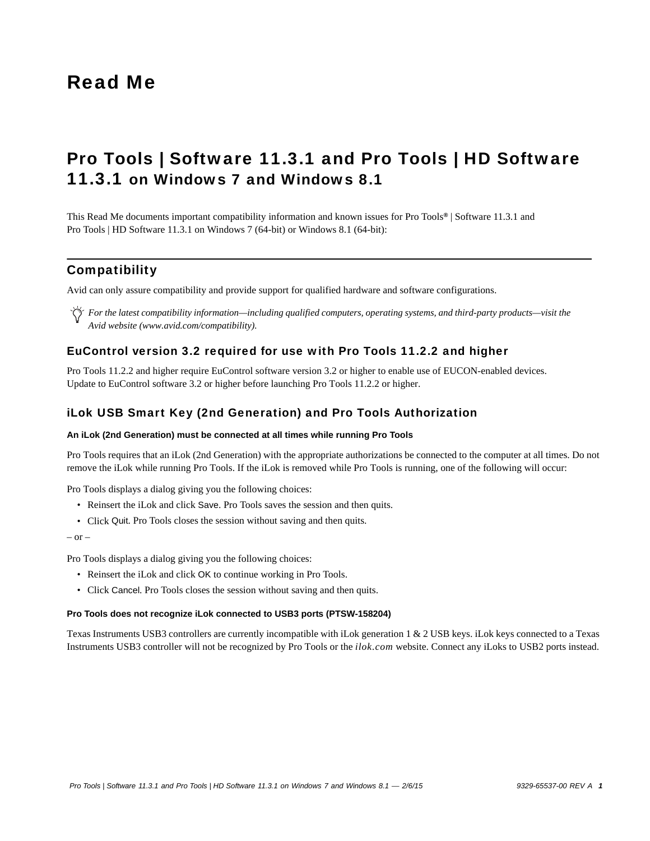# Read Me

# Pro Tools | Software 11.3.1 and Pro Tools | HD Software 11.3.1 on Windows 7 and Windows 8.1

This Read Me documents important compatibility information and known issues for Pro Tools*®* | Software 11.3.1 and Pro Tools | HD Software 11.3.1 on Windows 7 (64-bit) or Windows 8.1 (64-bit):

# **Compatibility**

Avid can only assure compatibility and provide support for qualified hardware and software configurations.

*For the latest compatibility information—including qualified computers, operating systems, and third-party products—visit the Avid website (www.avid.com/compatibility).*

### EuControl version 3.2 required for use with Pro Tools 11.2.2 and higher

Pro Tools 11.2.2 and higher require EuControl software version 3.2 or higher to enable use of EUCON-enabled devices. Update to EuControl software 3.2 or higher before launching Pro Tools 11.2.2 or higher.

### iLok USB Smart Key (2nd Generation) and Pro Tools Authorization

#### **An iLok (2nd Generation) must be connected at all times while running Pro Tools**

Pro Tools requires that an iLok (2nd Generation) with the appropriate authorizations be connected to the computer at all times. Do not remove the iLok while running Pro Tools. If the iLok is removed while Pro Tools is running, one of the following will occur:

Pro Tools displays a dialog giving you the following choices:

- Reinsert the iLok and click Save. Pro Tools saves the session and then quits.
- Click Quit. Pro Tools closes the session without saving and then quits.

 $-$  or  $-$ 

Pro Tools displays a dialog giving you the following choices:

- Reinsert the iLok and click OK to continue working in Pro Tools.
- Click Cancel. Pro Tools closes the session without saving and then quits.

#### **Pro Tools does not recognize iLok connected to USB3 ports (PTSW-158204)**

Texas Instruments USB3 controllers are currently incompatible with iLok generation 1 & 2 USB keys. iLok keys connected to a Texas Instruments USB3 controller will not be recognized by Pro Tools or the *ilok.com* website. Connect any iLoks to USB2 ports instead.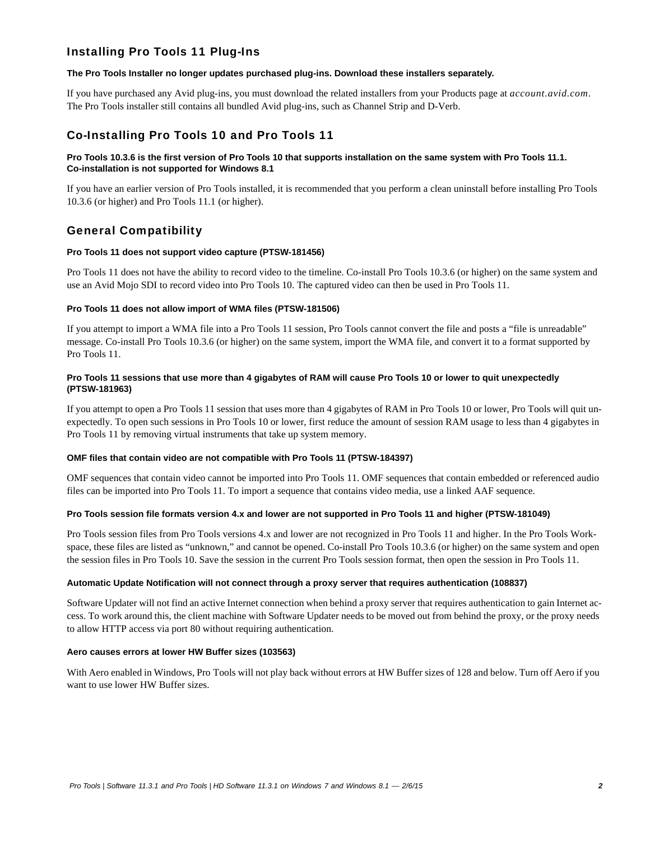## Installing Pro Tools 11 Plug-Ins

#### **The Pro Tools Installer no longer updates purchased plug-ins. Download these installers separately.**

If you have purchased any Avid plug-ins, you must download the related installers from your Products page at *account.avid.com*. The Pro Tools installer still contains all bundled Avid plug-ins, such as Channel Strip and D-Verb.

# Co-Installing Pro Tools 10 and Pro Tools 11

#### **Pro Tools 10.3.6 is the first version of Pro Tools 10 that supports installation on the same system with Pro Tools 11.1. Co-installation is not supported for Windows 8.1**

If you have an earlier version of Pro Tools installed, it is recommended that you perform a clean uninstall before installing Pro Tools 10.3.6 (or higher) and Pro Tools 11.1 (or higher).

# General Compatibility

#### **Pro Tools 11 does not support video capture (PTSW-181456)**

Pro Tools 11 does not have the ability to record video to the timeline. Co-install Pro Tools 10.3.6 (or higher) on the same system and use an Avid Mojo SDI to record video into Pro Tools 10. The captured video can then be used in Pro Tools 11.

#### **Pro Tools 11 does not allow import of WMA files (PTSW-181506)**

If you attempt to import a WMA file into a Pro Tools 11 session, Pro Tools cannot convert the file and posts a "file is unreadable" message. Co-install Pro Tools 10.3.6 (or higher) on the same system, import the WMA file, and convert it to a format supported by Pro Tools 11.

#### **Pro Tools 11 sessions that use more than 4 gigabytes of RAM will cause Pro Tools 10 or lower to quit unexpectedly (PTSW-181963)**

If you attempt to open a Pro Tools 11 session that uses more than 4 gigabytes of RAM in Pro Tools 10 or lower, Pro Tools will quit unexpectedly. To open such sessions in Pro Tools 10 or lower, first reduce the amount of session RAM usage to less than 4 gigabytes in Pro Tools 11 by removing virtual instruments that take up system memory.

#### **OMF files that contain video are not compatible with Pro Tools 11 (PTSW-184397)**

OMF sequences that contain video cannot be imported into Pro Tools 11. OMF sequences that contain embedded or referenced audio files can be imported into Pro Tools 11. To import a sequence that contains video media, use a linked AAF sequence.

#### **Pro Tools session file formats version 4.x and lower are not supported in Pro Tools 11 and higher (PTSW-181049)**

Pro Tools session files from Pro Tools versions 4.x and lower are not recognized in Pro Tools 11 and higher. In the Pro Tools Workspace, these files are listed as "unknown," and cannot be opened. Co-install Pro Tools 10.3.6 (or higher) on the same system and open the session files in Pro Tools 10. Save the session in the current Pro Tools session format, then open the session in Pro Tools 11.

#### **Automatic Update Notification will not connect through a proxy server that requires authentication (108837)**

Software Updater will not find an active Internet connection when behind a proxy server that requires authentication to gain Internet access. To work around this, the client machine with Software Updater needs to be moved out from behind the proxy, or the proxy needs to allow HTTP access via port 80 without requiring authentication.

#### **Aero causes errors at lower HW Buffer sizes (103563)**

With Aero enabled in Windows, Pro Tools will not play back without errors at HW Buffer sizes of 128 and below. Turn off Aero if you want to use lower HW Buffer sizes.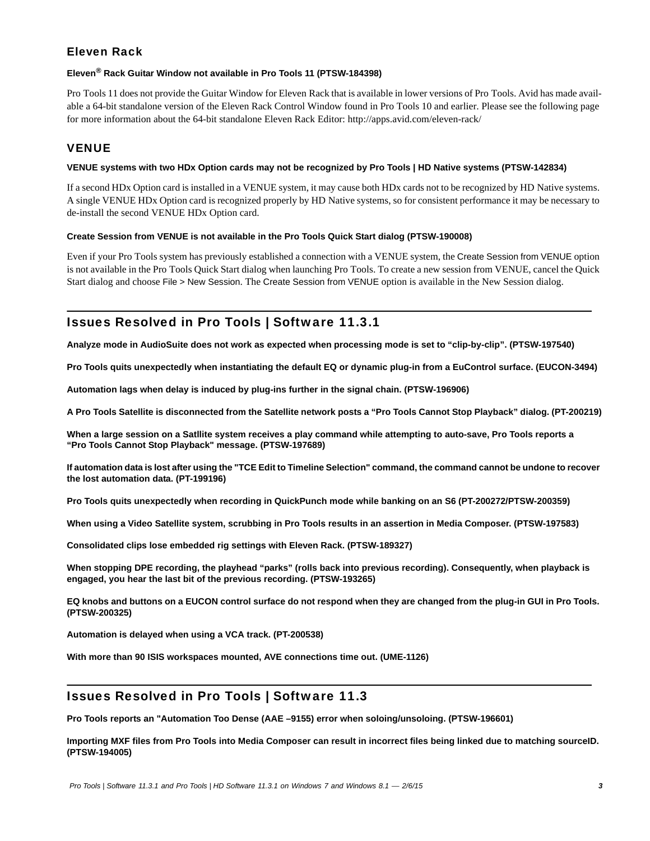# Eleven Rack

#### **Eleven® Rack Guitar Window not available in Pro Tools 11 (PTSW-184398)**

Pro Tools 11 does not provide the Guitar Window for Eleven Rack that is available in lower versions of Pro Tools. Avid has made available a 64-bit standalone version of the Eleven Rack Control Window found in Pro Tools 10 and earlier. Please see the following page for more information about the 64-bit standalone Eleven Rack Editor: http://apps.avid.com/eleven-rack/

# VENUE

#### **VENUE systems with two HDx Option cards may not be recognized by Pro Tools | HD Native systems (PTSW-142834)**

If a second HDx Option card is installed in a VENUE system, it may cause both HDx cards not to be recognized by HD Native systems. A single VENUE HDx Option card is recognized properly by HD Native systems, so for consistent performance it may be necessary to de-install the second VENUE HDx Option card.

#### **Create Session from VENUE is not available in the Pro Tools Quick Start dialog (PTSW-190008)**

Even if your Pro Tools system has previously established a connection with a VENUE system, the Create Session from VENUE option is not available in the Pro Tools Quick Start dialog when launching Pro Tools. To create a new session from VENUE, cancel the Quick Start dialog and choose File > New Session. The Create Session from VENUE option is available in the New Session dialog.

# Issues Resolved in Pro Tools | Software 11.3.1

**Analyze mode in AudioSuite does not work as expected when processing mode is set to "clip-by-clip". (PTSW-197540)**

**Pro Tools quits unexpectedly when instantiating the default EQ or dynamic plug-in from a EuControl surface. (EUCON-3494)**

**Automation lags when delay is induced by plug-ins further in the signal chain. (PTSW-196906)**

**A Pro Tools Satellite is disconnected from the Satellite network posts a "Pro Tools Cannot Stop Playback" dialog. (PT-200219)**

**When a large session on a Satllite system receives a play command while attempting to auto-save, Pro Tools reports a "Pro Tools Cannot Stop Playback" message. (PTSW-197689)**

**If automation data is lost after using the "TCE Edit to Timeline Selection" command, the command cannot be undone to recover the lost automation data. (PT-199196)**

**Pro Tools quits unexpectedly when recording in QuickPunch mode while banking on an S6 (PT-200272/PTSW-200359)**

**When using a Video Satellite system, scrubbing in Pro Tools results in an assertion in Media Composer. (PTSW-197583)**

**Consolidated clips lose embedded rig settings with Eleven Rack. (PTSW-189327)**

**When stopping DPE recording, the playhead "parks" (rolls back into previous recording). Consequently, when playback is engaged, you hear the last bit of the previous recording. (PTSW-193265)**

**EQ knobs and buttons on a EUCON control surface do not respond when they are changed from the plug-in GUI in Pro Tools. (PTSW-200325)**

**Automation is delayed when using a VCA track. (PT-200538)**

**With more than 90 ISIS workspaces mounted, AVE connections time out. (UME-1126)**

# Issues Resolved in Pro Tools | Software 11.3

**Pro Tools reports an "Automation Too Dense (AAE –9155) error when soloing/unsoloing. (PTSW-196601)**

**Importing MXF files from Pro Tools into Media Composer can result in incorrect files being linked due to matching sourceID. (PTSW-194005)**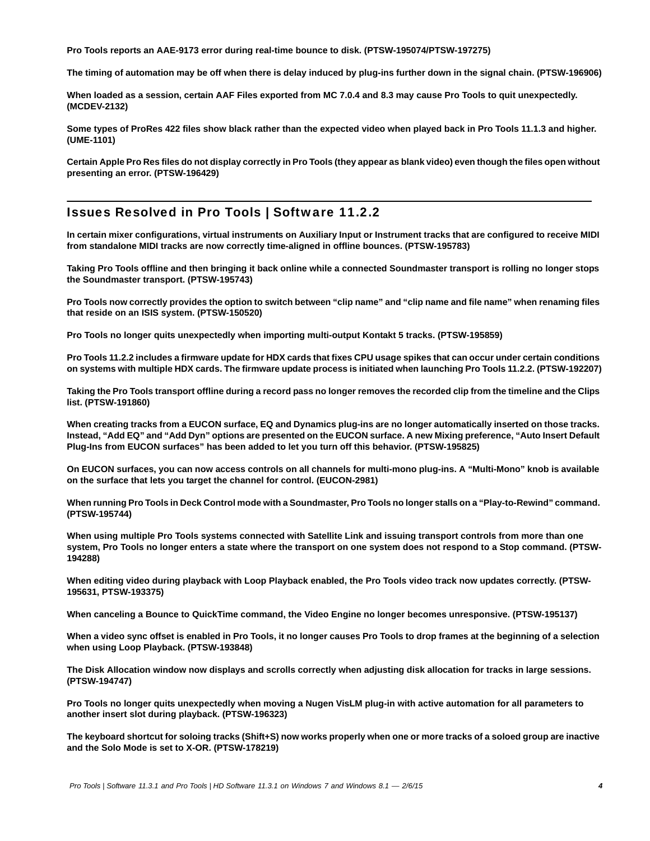**Pro Tools reports an AAE-9173 error during real-time bounce to disk. (PTSW-195074/PTSW-197275)**

**The timing of automation may be off when there is delay induced by plug-ins further down in the signal chain. (PTSW-196906)**

**When loaded as a session, certain AAF Files exported from MC 7.0.4 and 8.3 may cause Pro Tools to quit unexpectedly. (MCDEV-2132)**

**Some types of ProRes 422 files show black rather than the expected video when played back in Pro Tools 11.1.3 and higher. (UME-1101)**

**Certain Apple Pro Res files do not display correctly in Pro Tools (they appear as blank video) even though the files open without presenting an error. (PTSW-196429)**

# Issues Resolved in Pro Tools | Software 11.2.2

**In certain mixer configurations, virtual instruments on Auxiliary Input or Instrument tracks that are configured to receive MIDI from standalone MIDI tracks are now correctly time-aligned in offline bounces. (PTSW-195783)**

**Taking Pro Tools offline and then bringing it back online while a connected Soundmaster transport is rolling no longer stops the Soundmaster transport. (PTSW-195743)**

**Pro Tools now correctly provides the option to switch between "clip name" and "clip name and file name" when renaming files that reside on an ISIS system. (PTSW-150520)**

**Pro Tools no longer quits unexpectedly when importing multi-output Kontakt 5 tracks. (PTSW-195859)**

**Pro Tools 11.2.2 includes a firmware update for HDX cards that fixes CPU usage spikes that can occur under certain conditions on systems with multiple HDX cards. The firmware update process is initiated when launching Pro Tools 11.2.2. (PTSW-192207)**

**Taking the Pro Tools transport offline during a record pass no longer removes the recorded clip from the timeline and the Clips list. (PTSW-191860)**

**When creating tracks from a EUCON surface, EQ and Dynamics plug-ins are no longer automatically inserted on those tracks. Instead, "Add EQ" and "Add Dyn" options are presented on the EUCON surface. A new Mixing preference, "Auto Insert Default Plug-Ins from EUCON surfaces" has been added to let you turn off this behavior. (PTSW-195825)**

**On EUCON surfaces, you can now access controls on all channels for multi-mono plug-ins. A "Multi-Mono" knob is available on the surface that lets you target the channel for control. (EUCON-2981)**

**When running Pro Tools in Deck Control mode with a Soundmaster, Pro Tools no longer stalls on a "Play-to-Rewind" command. (PTSW-195744)**

**When using multiple Pro Tools systems connected with Satellite Link and issuing transport controls from more than one system, Pro Tools no longer enters a state where the transport on one system does not respond to a Stop command. (PTSW-194288)**

**When editing video during playback with Loop Playback enabled, the Pro Tools video track now updates correctly. (PTSW-195631, PTSW-193375)**

**When canceling a Bounce to QuickTime command, the Video Engine no longer becomes unresponsive. (PTSW-195137)**

**When a video sync offset is enabled in Pro Tools, it no longer causes Pro Tools to drop frames at the beginning of a selection when using Loop Playback. (PTSW-193848)**

**The Disk Allocation window now displays and scrolls correctly when adjusting disk allocation for tracks in large sessions. (PTSW-194747)**

**Pro Tools no longer quits unexpectedly when moving a Nugen VisLM plug-in with active automation for all parameters to another insert slot during playback. (PTSW-196323)**

**The keyboard shortcut for soloing tracks (Shift+S) now works properly when one or more tracks of a soloed group are inactive and the Solo Mode is set to X-OR. (PTSW-178219)**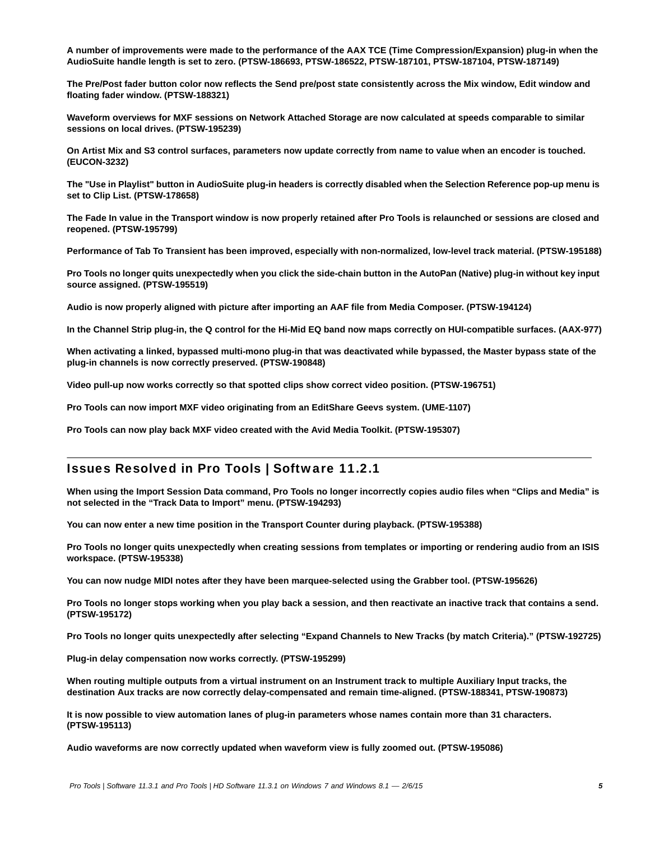**A number of improvements were made to the performance of the AAX TCE (Time Compression/Expansion) plug-in when the AudioSuite handle length is set to zero. (PTSW-186693, PTSW-186522, PTSW-187101, PTSW-187104, PTSW-187149)**

**The Pre/Post fader button color now reflects the Send pre/post state consistently across the Mix window, Edit window and floating fader window. (PTSW-188321)**

**Waveform overviews for MXF sessions on Network Attached Storage are now calculated at speeds comparable to similar sessions on local drives. (PTSW-195239)**

**On Artist Mix and S3 control surfaces, parameters now update correctly from name to value when an encoder is touched. (EUCON-3232)**

**The "Use in Playlist" button in AudioSuite plug-in headers is correctly disabled when the Selection Reference pop-up menu is set to Clip List. (PTSW-178658)**

**The Fade In value in the Transport window is now properly retained after Pro Tools is relaunched or sessions are closed and reopened. (PTSW-195799)**

**Performance of Tab To Transient has been improved, especially with non-normalized, low-level track material. (PTSW-195188)**

**Pro Tools no longer quits unexpectedly when you click the side-chain button in the AutoPan (Native) plug-in without key input source assigned. (PTSW-195519)**

**Audio is now properly aligned with picture after importing an AAF file from Media Composer. (PTSW-194124)**

**In the Channel Strip plug-in, the Q control for the Hi-Mid EQ band now maps correctly on HUI-compatible surfaces. (AAX-977)**

**When activating a linked, bypassed multi-mono plug-in that was deactivated while bypassed, the Master bypass state of the plug-in channels is now correctly preserved. (PTSW-190848)**

**Video pull-up now works correctly so that spotted clips show correct video position. (PTSW-196751)**

**Pro Tools can now import MXF video originating from an EditShare Geevs system. (UME-1107)**

**Pro Tools can now play back MXF video created with the Avid Media Toolkit. (PTSW-195307)** 

### Issues Resolved in Pro Tools | Software 11.2.1

**When using the Import Session Data command, Pro Tools no longer incorrectly copies audio files when "Clips and Media" is not selected in the "Track Data to Import" menu. (PTSW-194293)**

**You can now enter a new time position in the Transport Counter during playback. (PTSW-195388)**

**Pro Tools no longer quits unexpectedly when creating sessions from templates or importing or rendering audio from an ISIS workspace. (PTSW-195338)**

**You can now nudge MIDI notes after they have been marquee-selected using the Grabber tool. (PTSW-195626)**

**Pro Tools no longer stops working when you play back a session, and then reactivate an inactive track that contains a send. (PTSW-195172)**

**Pro Tools no longer quits unexpectedly after selecting "Expand Channels to New Tracks (by match Criteria)." (PTSW-192725)**

**Plug-in delay compensation now works correctly. (PTSW-195299)**

**When routing multiple outputs from a virtual instrument on an Instrument track to multiple Auxiliary Input tracks, the destination Aux tracks are now correctly delay-compensated and remain time-aligned. (PTSW-188341, PTSW-190873)**

**It is now possible to view automation lanes of plug-in parameters whose names contain more than 31 characters. (PTSW-195113)**

**Audio waveforms are now correctly updated when waveform view is fully zoomed out. (PTSW-195086)**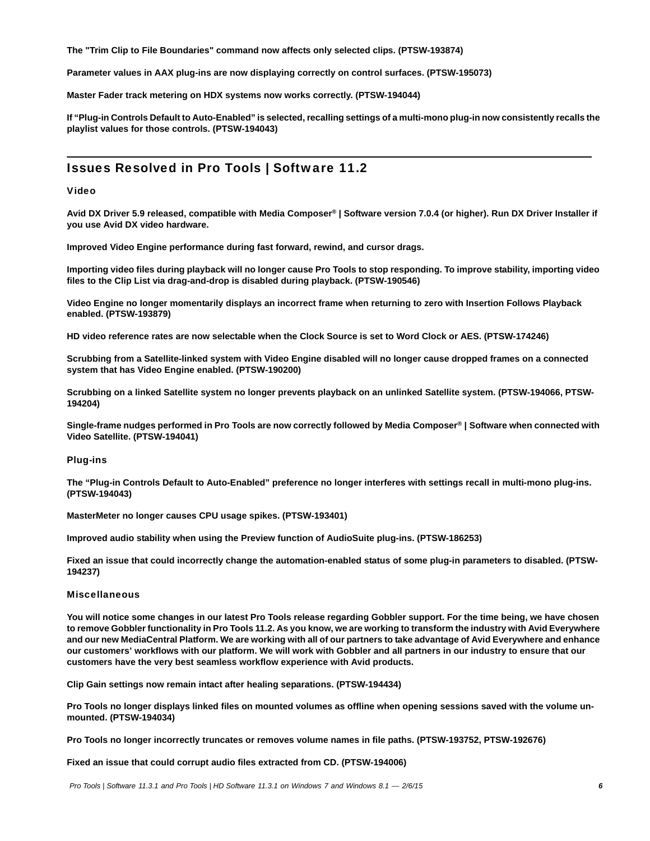**The "Trim Clip to File Boundaries" command now affects only selected clips. (PTSW-193874)**

**Parameter values in AAX plug-ins are now displaying correctly on control surfaces. (PTSW-195073)**

**Master Fader track metering on HDX systems now works correctly. (PTSW-194044)**

**If "Plug-in Controls Default to Auto-Enabled" is selected, recalling settings of a multi-mono plug-in now consistently recalls the playlist values for those controls. (PTSW-194043)**

# Issues Resolved in Pro Tools | Software 11.2

#### Video

**Avid DX Driver 5.9 released, compatible with Media Composer***®* **| Software version 7.0.4 (or higher). Run DX Driver Installer if you use Avid DX video hardware.**

**Improved Video Engine performance during fast forward, rewind, and cursor drags.**

**Importing video files during playback will no longer cause Pro Tools to stop responding. To improve stability, importing video files to the Clip List via drag-and-drop is disabled during playback. (PTSW-190546)**

**Video Engine no longer momentarily displays an incorrect frame when returning to zero with Insertion Follows Playback enabled. (PTSW-193879)**

**HD video reference rates are now selectable when the Clock Source is set to Word Clock or AES. (PTSW-174246)**

**Scrubbing from a Satellite-linked system with Video Engine disabled will no longer cause dropped frames on a connected system that has Video Engine enabled. (PTSW-190200)**

**Scrubbing on a linked Satellite system no longer prevents playback on an unlinked Satellite system. (PTSW-194066, PTSW-194204)**

**Single-frame nudges performed in Pro Tools are now correctly followed by Media Composer***®* **| Software when connected with Video Satellite. (PTSW-194041)**

#### Plug-ins

**The "Plug-in Controls Default to Auto-Enabled" preference no longer interferes with settings recall in multi-mono plug-ins. (PTSW-194043)**

**MasterMeter no longer causes CPU usage spikes. (PTSW-193401)**

**Improved audio stability when using the Preview function of AudioSuite plug-ins. (PTSW-186253)**

**Fixed an issue that could incorrectly change the automation-enabled status of some plug-in parameters to disabled. (PTSW-194237)**

#### **Miscellaneous**

**You will notice some changes in our latest Pro Tools release regarding Gobbler support. For the time being, we have chosen to remove Gobbler functionality in Pro Tools 11.2. As you know, we are working to transform the industry with Avid Everywhere and our new MediaCentral Platform. We are working with all of our partners to take advantage of Avid Everywhere and enhance our customers' workflows with our platform. We will work with Gobbler and all partners in our industry to ensure that our customers have the very best seamless workflow experience with Avid products.**

**Clip Gain settings now remain intact after healing separations. (PTSW-194434)**

**Pro Tools no longer displays linked files on mounted volumes as offline when opening sessions saved with the volume unmounted. (PTSW-194034)**

**Pro Tools no longer incorrectly truncates or removes volume names in file paths. (PTSW-193752, PTSW-192676)**

**Fixed an issue that could corrupt audio files extracted from CD. (PTSW-194006)**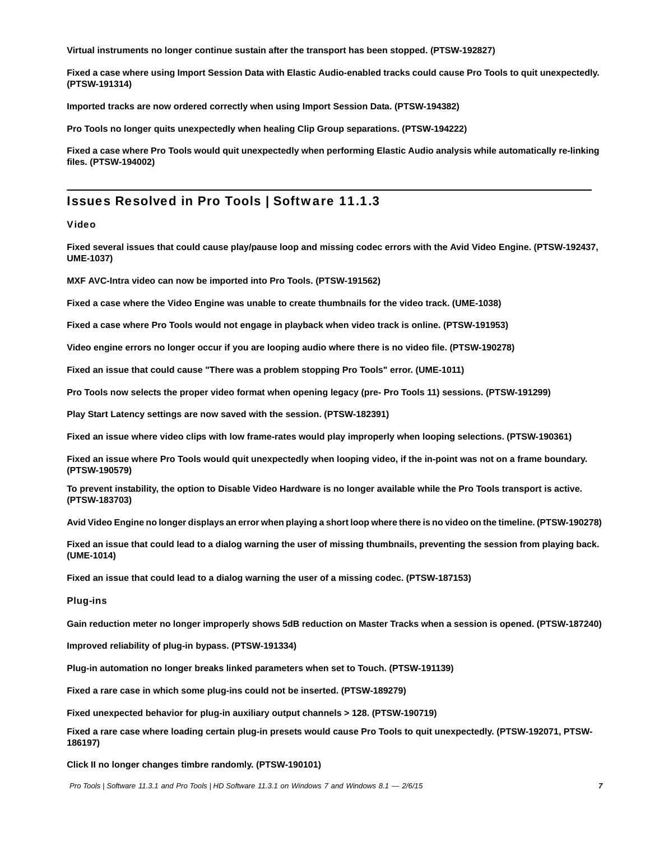**Virtual instruments no longer continue sustain after the transport has been stopped. (PTSW-192827)**

**Fixed a case where using Import Session Data with Elastic Audio-enabled tracks could cause Pro Tools to quit unexpectedly. (PTSW-191314)**

**Imported tracks are now ordered correctly when using Import Session Data. (PTSW-194382)**

**Pro Tools no longer quits unexpectedly when healing Clip Group separations. (PTSW-194222)**

**Fixed a case where Pro Tools would quit unexpectedly when performing Elastic Audio analysis while automatically re-linking files. (PTSW-194002)**

### Issues Resolved in Pro Tools | Software 11.1.3

#### Video

**Fixed several issues that could cause play/pause loop and missing codec errors with the Avid Video Engine. (PTSW-192437, UME-1037)**

**MXF AVC-Intra video can now be imported into Pro Tools. (PTSW-191562)**

**Fixed a case where the Video Engine was unable to create thumbnails for the video track. (UME-1038)**

**Fixed a case where Pro Tools would not engage in playback when video track is online. (PTSW-191953)**

**Video engine errors no longer occur if you are looping audio where there is no video file. (PTSW-190278)**

**Fixed an issue that could cause "There was a problem stopping Pro Tools" error. (UME-1011)**

**Pro Tools now selects the proper video format when opening legacy (pre- Pro Tools 11) sessions. (PTSW-191299)**

**Play Start Latency settings are now saved with the session. (PTSW-182391)**

**Fixed an issue where video clips with low frame-rates would play improperly when looping selections. (PTSW-190361)**

**Fixed an issue where Pro Tools would quit unexpectedly when looping video, if the in-point was not on a frame boundary. (PTSW-190579)**

**To prevent instability, the option to Disable Video Hardware is no longer available while the Pro Tools transport is active. (PTSW-183703)**

**Avid Video Engine no longer displays an error when playing a short loop where there is no video on the timeline. (PTSW-190278)**

**Fixed an issue that could lead to a dialog warning the user of missing thumbnails, preventing the session from playing back. (UME-1014)**

**Fixed an issue that could lead to a dialog warning the user of a missing codec. (PTSW-187153)**

#### Plug-ins

**Gain reduction meter no longer improperly shows 5dB reduction on Master Tracks when a session is opened. (PTSW-187240)**

**Improved reliability of plug-in bypass. (PTSW-191334)**

**Plug-in automation no longer breaks linked parameters when set to Touch. (PTSW-191139)**

**Fixed a rare case in which some plug-ins could not be inserted. (PTSW-189279)**

**Fixed unexpected behavior for plug-in auxiliary output channels > 128. (PTSW-190719)**

**Fixed a rare case where loading certain plug-in presets would cause Pro Tools to quit unexpectedly. (PTSW-192071, PTSW-186197)**

**Click II no longer changes timbre randomly. (PTSW-190101)**

 *Pro Tools | Software 11.3.1 and Pro Tools | HD Software 11.3.1 on Windows 7 and Windows 8.1*  $-$  *2/6/15* **7**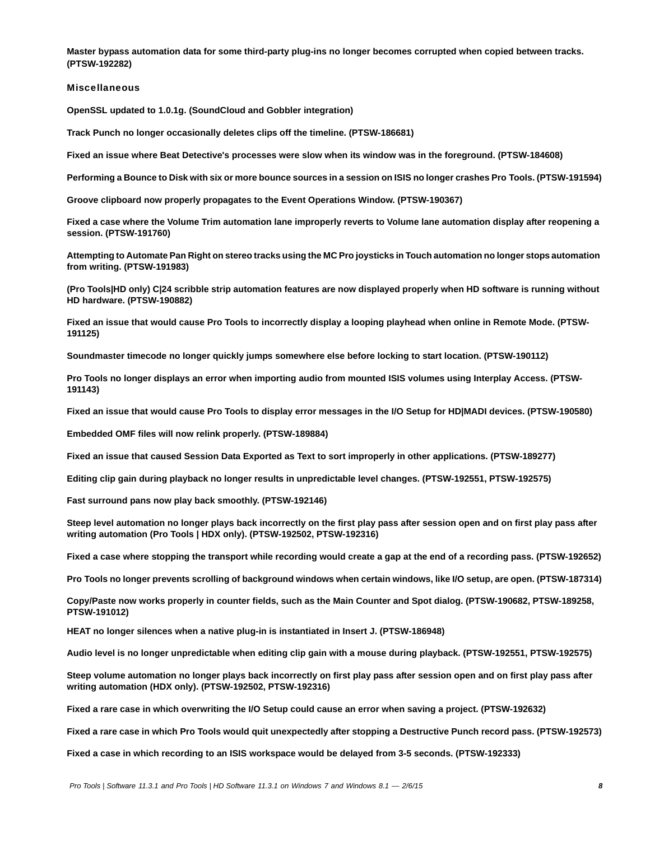**Master bypass automation data for some third-party plug-ins no longer becomes corrupted when copied between tracks. (PTSW-192282)**

Miscellaneous

**OpenSSL updated to 1.0.1g. (SoundCloud and Gobbler integration)**

**Track Punch no longer occasionally deletes clips off the timeline. (PTSW-186681)**

**Fixed an issue where Beat Detective's processes were slow when its window was in the foreground. (PTSW-184608)**

**Performing a Bounce to Disk with six or more bounce sources in a session on ISIS no longer crashes Pro Tools. (PTSW-191594)**

**Groove clipboard now properly propagates to the Event Operations Window. (PTSW-190367)**

**Fixed a case where the Volume Trim automation lane improperly reverts to Volume lane automation display after reopening a session. (PTSW-191760)**

**Attempting to Automate Pan Right on stereo tracks using the MC Pro joysticks in Touch automation no longer stops automation from writing. (PTSW-191983)**

**(Pro Tools|HD only) C|24 scribble strip automation features are now displayed properly when HD software is running without HD hardware. (PTSW-190882)**

**Fixed an issue that would cause Pro Tools to incorrectly display a looping playhead when online in Remote Mode. (PTSW-191125)**

**Soundmaster timecode no longer quickly jumps somewhere else before locking to start location. (PTSW-190112)**

**Pro Tools no longer displays an error when importing audio from mounted ISIS volumes using Interplay Access. (PTSW-191143)**

**Fixed an issue that would cause Pro Tools to display error messages in the I/O Setup for HD|MADI devices. (PTSW-190580)**

**Embedded OMF files will now relink properly. (PTSW-189884)**

**Fixed an issue that caused Session Data Exported as Text to sort improperly in other applications. (PTSW-189277)**

**Editing clip gain during playback no longer results in unpredictable level changes. (PTSW-192551, PTSW-192575)**

**Fast surround pans now play back smoothly. (PTSW-192146)**

**Steep level automation no longer plays back incorrectly on the first play pass after session open and on first play pass after writing automation (Pro Tools | HDX only). (PTSW-192502, PTSW-192316)**

**Fixed a case where stopping the transport while recording would create a gap at the end of a recording pass. (PTSW-192652)**

**Pro Tools no longer prevents scrolling of background windows when certain windows, like I/O setup, are open. (PTSW-187314)**

**Copy/Paste now works properly in counter fields, such as the Main Counter and Spot dialog. (PTSW-190682, PTSW-189258, PTSW-191012)**

**HEAT no longer silences when a native plug-in is instantiated in Insert J. (PTSW-186948)**

**Audio level is no longer unpredictable when editing clip gain with a mouse during playback. (PTSW-192551, PTSW-192575)**

**Steep volume automation no longer plays back incorrectly on first play pass after session open and on first play pass after writing automation (HDX only). (PTSW-192502, PTSW-192316)**

**Fixed a rare case in which overwriting the I/O Setup could cause an error when saving a project. (PTSW-192632)**

**Fixed a rare case in which Pro Tools would quit unexpectedly after stopping a Destructive Punch record pass. (PTSW-192573)**

**Fixed a case in which recording to an ISIS workspace would be delayed from 3-5 seconds. (PTSW-192333)**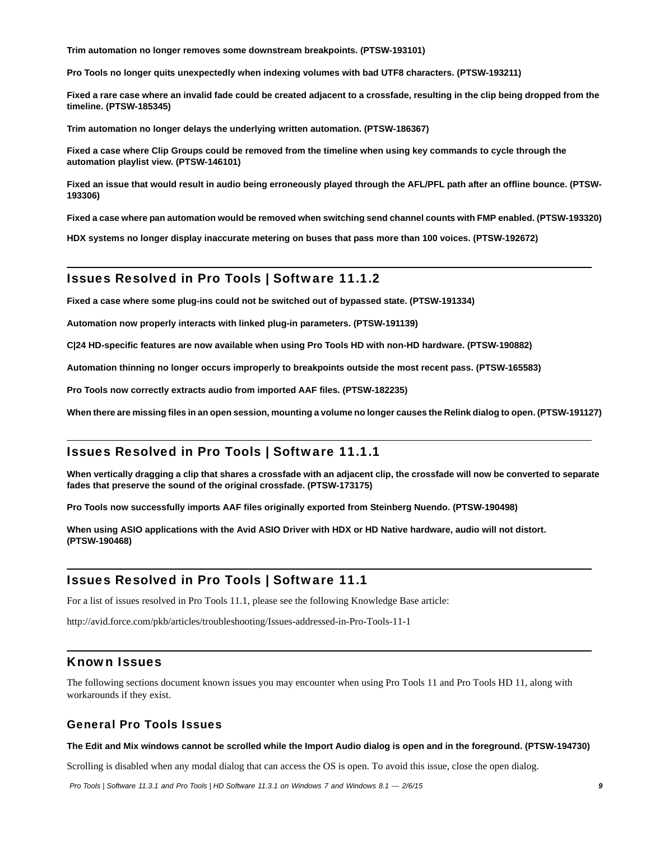**Trim automation no longer removes some downstream breakpoints. (PTSW-193101)**

**Pro Tools no longer quits unexpectedly when indexing volumes with bad UTF8 characters. (PTSW-193211)**

**Fixed a rare case where an invalid fade could be created adjacent to a crossfade, resulting in the clip being dropped from the timeline. (PTSW-185345)**

**Trim automation no longer delays the underlying written automation. (PTSW-186367)**

**Fixed a case where Clip Groups could be removed from the timeline when using key commands to cycle through the automation playlist view. (PTSW-146101)**

**Fixed an issue that would result in audio being erroneously played through the AFL/PFL path after an offline bounce. (PTSW-193306)**

**Fixed a case where pan automation would be removed when switching send channel counts with FMP enabled. (PTSW-193320)**

**HDX systems no longer display inaccurate metering on buses that pass more than 100 voices. (PTSW-192672)**

### Issues Resolved in Pro Tools | Software 11.1.2

**Fixed a case where some plug-ins could not be switched out of bypassed state. (PTSW-191334)**

**Automation now properly interacts with linked plug-in parameters. (PTSW-191139)**

**C|24 HD-specific features are now available when using Pro Tools HD with non-HD hardware. (PTSW-190882)**

**Automation thinning no longer occurs improperly to breakpoints outside the most recent pass. (PTSW-165583)**

**Pro Tools now correctly extracts audio from imported AAF files. (PTSW-182235)**

**When there are missing files in an open session, mounting a volume no longer causes the Relink dialog to open. (PTSW-191127)**

### Issues Resolved in Pro Tools | Software 11.1.1

**When vertically dragging a clip that shares a crossfade with an adjacent clip, the crossfade will now be converted to separate fades that preserve the sound of the original crossfade. (PTSW-173175)**

**Pro Tools now successfully imports AAF files originally exported from Steinberg Nuendo. (PTSW-190498)**

**When using ASIO applications with the Avid ASIO Driver with HDX or HD Native hardware, audio will not distort. (PTSW-190468)**

### Issues Resolved in Pro Tools | Software 11.1

For a list of issues resolved in Pro Tools 11.1, please see the following Knowledge Base article:

<http://avid.force.com/pkb/articles/troubleshooting/Issues-addressed-in-Pro-Tools-11-1>

### Known Issues

The following sections document known issues you may encounter when using Pro Tools 11 and Pro Tools HD 11, along with workarounds if they exist.

### General Pro Tools Issues

#### **The Edit and Mix windows cannot be scrolled while the Import Audio dialog is open and in the foreground. (PTSW-194730)**

Scrolling is disabled when any modal dialog that can access the OS is open. To avoid this issue, close the open dialog.

 *Pro Tools | Software 11.3.1 and Pro Tools | HD Software 11.3.1 on Windows 7 and Windows 8.1*  $-$  *2/6/15* **9**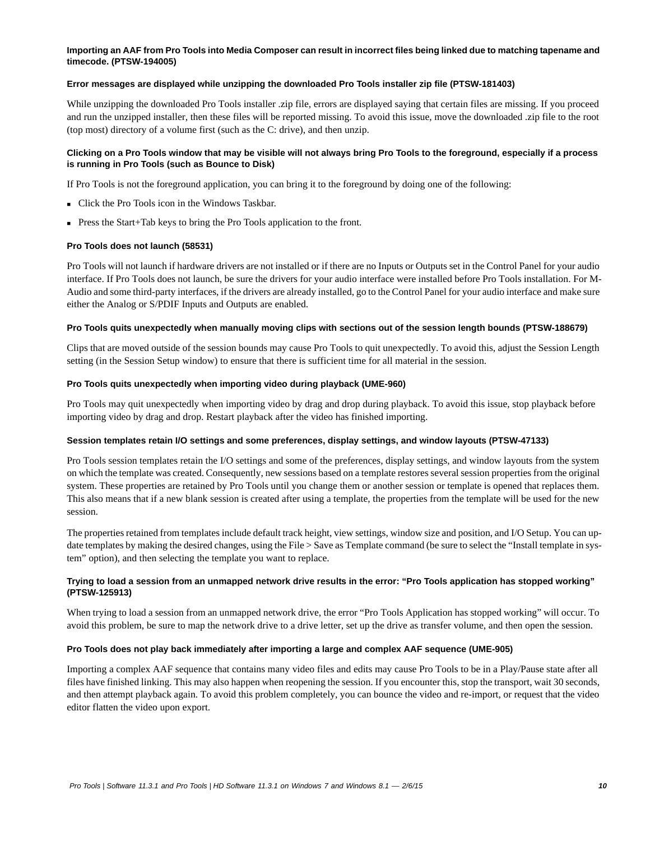#### **Importing an AAF from Pro Tools into Media Composer can result in incorrect files being linked due to matching tapename and timecode. (PTSW-194005)**

#### **Error messages are displayed while unzipping the downloaded Pro Tools installer zip file (PTSW-181403)**

While unzipping the downloaded Pro Tools installer .zip file, errors are displayed saying that certain files are missing. If you proceed and run the unzipped installer, then these files will be reported missing. To avoid this issue, move the downloaded .zip file to the root (top most) directory of a volume first (such as the C: drive), and then unzip.

#### **Clicking on a Pro Tools window that may be visible will not always bring Pro Tools to the foreground, especially if a process is running in Pro Tools (such as Bounce to Disk)**

If Pro Tools is not the foreground application, you can bring it to the foreground by doing one of the following:

- Click the Pro Tools icon in the Windows Taskbar.
- Press the Start+Tab keys to bring the Pro Tools application to the front.

#### **Pro Tools does not launch (58531)**

Pro Tools will not launch if hardware drivers are not installed or if there are no Inputs or Outputs set in the Control Panel for your audio interface. If Pro Tools does not launch, be sure the drivers for your audio interface were installed before Pro Tools installation. For M-Audio and some third-party interfaces, if the drivers are already installed, go to the Control Panel for your audio interface and make sure either the Analog or S/PDIF Inputs and Outputs are enabled.

#### **Pro Tools quits unexpectedly when manually moving clips with sections out of the session length bounds (PTSW-188679)**

Clips that are moved outside of the session bounds may cause Pro Tools to quit unexpectedly. To avoid this, adjust the Session Length setting (in the Session Setup window) to ensure that there is sufficient time for all material in the session.

#### **Pro Tools quits unexpectedly when importing video during playback (UME-960)**

Pro Tools may quit unexpectedly when importing video by drag and drop during playback. To avoid this issue, stop playback before importing video by drag and drop. Restart playback after the video has finished importing.

#### **Session templates retain I/O settings and some preferences, display settings, and window layouts (PTSW-47133)**

Pro Tools session templates retain the I/O settings and some of the preferences, display settings, and window layouts from the system on which the template was created. Consequently, new sessions based on a template restores several session properties from the original system. These properties are retained by Pro Tools until you change them or another session or template is opened that replaces them. This also means that if a new blank session is created after using a template, the properties from the template will be used for the new session.

The properties retained from templates include default track height, view settings, window size and position, and I/O Setup. You can update templates by making the desired changes, using the File > Save as Template command (be sure to select the "Install template in system" option), and then selecting the template you want to replace.

#### **Trying to load a session from an unmapped network drive results in the error: "Pro Tools application has stopped working" (PTSW-125913)**

When trying to load a session from an unmapped network drive, the error "Pro Tools Application has stopped working" will occur. To avoid this problem, be sure to map the network drive to a drive letter, set up the drive as transfer volume, and then open the session.

#### **Pro Tools does not play back immediately after importing a large and complex AAF sequence (UME-905)**

Importing a complex AAF sequence that contains many video files and edits may cause Pro Tools to be in a Play/Pause state after all files have finished linking. This may also happen when reopening the session. If you encounter this, stop the transport, wait 30 seconds, and then attempt playback again. To avoid this problem completely, you can bounce the video and re-import, or request that the video editor flatten the video upon export.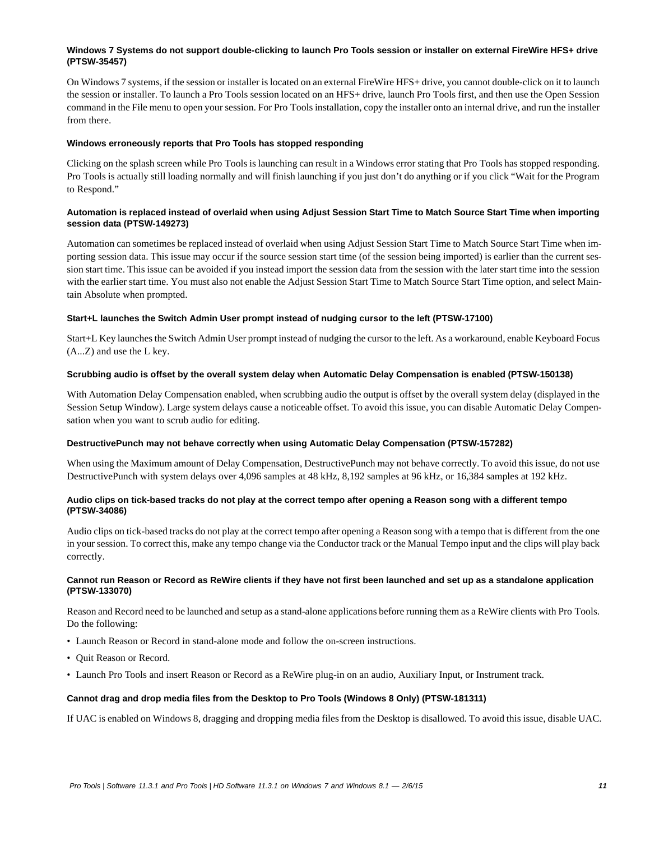#### **Windows 7 Systems do not support double-clicking to launch Pro Tools session or installer on external FireWire HFS+ drive (PTSW-35457)**

On Windows 7 systems, if the session or installer is located on an external FireWire HFS+ drive, you cannot double-click on it to launch the session or installer. To launch a Pro Tools session located on an HFS+ drive, launch Pro Tools first, and then use the Open Session command in the File menu to open your session. For Pro Tools installation, copy the installer onto an internal drive, and run the installer from there.

#### **Windows erroneously reports that Pro Tools has stopped responding**

Clicking on the splash screen while Pro Tools is launching can result in a Windows error stating that Pro Tools has stopped responding. Pro Tools is actually still loading normally and will finish launching if you just don't do anything or if you click "Wait for the Program to Respond."

#### **Automation is replaced instead of overlaid when using Adjust Session Start Time to Match Source Start Time when importing session data (PTSW-149273)**

Automation can sometimes be replaced instead of overlaid when using Adjust Session Start Time to Match Source Start Time when importing session data. This issue may occur if the source session start time (of the session being imported) is earlier than the current session start time. This issue can be avoided if you instead import the session data from the session with the later start time into the session with the earlier start time. You must also not enable the Adjust Session Start Time to Match Source Start Time option, and select Maintain Absolute when prompted.

#### **Start+L launches the Switch Admin User prompt instead of nudging cursor to the left (PTSW-17100)**

Start+L Key launches the Switch Admin User prompt instead of nudging the cursor to the left. As a workaround, enable Keyboard Focus (A...Z) and use the L key.

#### **Scrubbing audio is offset by the overall system delay when Automatic Delay Compensation is enabled (PTSW-150138)**

With Automation Delay Compensation enabled, when scrubbing audio the output is offset by the overall system delay (displayed in the Session Setup Window). Large system delays cause a noticeable offset. To avoid this issue, you can disable Automatic Delay Compensation when you want to scrub audio for editing.

#### **DestructivePunch may not behave correctly when using Automatic Delay Compensation (PTSW-157282)**

When using the Maximum amount of Delay Compensation, DestructivePunch may not behave correctly. To avoid this issue, do not use DestructivePunch with system delays over 4,096 samples at 48 kHz, 8,192 samples at 96 kHz, or 16,384 samples at 192 kHz.

#### **Audio clips on tick-based tracks do not play at the correct tempo after opening a Reason song with a different tempo (PTSW-34086)**

Audio clips on tick-based tracks do not play at the correct tempo after opening a Reason song with a tempo that is different from the one in your session. To correct this, make any tempo change via the Conductor track or the Manual Tempo input and the clips will play back correctly.

#### **Cannot run Reason or Record as ReWire clients if they have not first been launched and set up as a standalone application (PTSW-133070)**

Reason and Record need to be launched and setup as a stand-alone applications before running them as a ReWire clients with Pro Tools. Do the following:

- Launch Reason or Record in stand-alone mode and follow the on-screen instructions.
- Quit Reason or Record.
- Launch Pro Tools and insert Reason or Record as a ReWire plug-in on an audio, Auxiliary Input, or Instrument track.

#### **Cannot drag and drop media files from the Desktop to Pro Tools (Windows 8 Only) (PTSW-181311)**

If UAC is enabled on Windows 8, dragging and dropping media files from the Desktop is disallowed. To avoid this issue, disable UAC.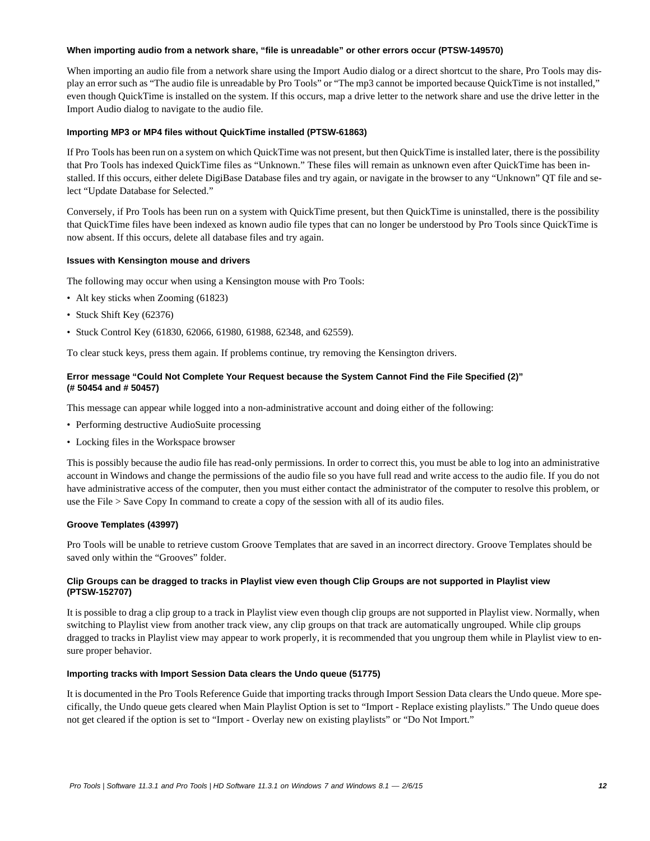#### **When importing audio from a network share, "file is unreadable" or other errors occur (PTSW-149570)**

When importing an audio file from a network share using the Import Audio dialog or a direct shortcut to the share, Pro Tools may display an error such as "The audio file is unreadable by Pro Tools" or "The mp3 cannot be imported because QuickTime is not installed," even though QuickTime is installed on the system. If this occurs, map a drive letter to the network share and use the drive letter in the Import Audio dialog to navigate to the audio file.

#### **Importing MP3 or MP4 files without QuickTime installed (PTSW-61863)**

If Pro Tools has been run on a system on which QuickTime was not present, but then QuickTime is installed later, there is the possibility that Pro Tools has indexed QuickTime files as "Unknown." These files will remain as unknown even after QuickTime has been installed. If this occurs, either delete DigiBase Database files and try again, or navigate in the browser to any "Unknown" QT file and select "Update Database for Selected."

Conversely, if Pro Tools has been run on a system with QuickTime present, but then QuickTime is uninstalled, there is the possibility that QuickTime files have been indexed as known audio file types that can no longer be understood by Pro Tools since QuickTime is now absent. If this occurs, delete all database files and try again.

#### **Issues with Kensington mouse and drivers**

The following may occur when using a Kensington mouse with Pro Tools:

- Alt key sticks when Zooming (61823)
- Stuck Shift Key (62376)
- Stuck Control Key (61830, 62066, 61980, 61988, 62348, and 62559).

To clear stuck keys, press them again. If problems continue, try removing the Kensington drivers.

#### **Error message "Could Not Complete Your Request because the System Cannot Find the File Specified (2)" (# 50454 and # 50457)**

This message can appear while logged into a non-administrative account and doing either of the following:

- Performing destructive AudioSuite processing
- Locking files in the Workspace browser

This is possibly because the audio file has read-only permissions. In order to correct this, you must be able to log into an administrative account in Windows and change the permissions of the audio file so you have full read and write access to the audio file. If you do not have administrative access of the computer, then you must either contact the administrator of the computer to resolve this problem, or use the File > Save Copy In command to create a copy of the session with all of its audio files.

#### **Groove Templates (43997)**

Pro Tools will be unable to retrieve custom Groove Templates that are saved in an incorrect directory. Groove Templates should be saved only within the "Grooves" folder.

#### **Clip Groups can be dragged to tracks in Playlist view even though Clip Groups are not supported in Playlist view (PTSW-152707)**

It is possible to drag a clip group to a track in Playlist view even though clip groups are not supported in Playlist view. Normally, when switching to Playlist view from another track view, any clip groups on that track are automatically ungrouped. While clip groups dragged to tracks in Playlist view may appear to work properly, it is recommended that you ungroup them while in Playlist view to ensure proper behavior.

#### **Importing tracks with Import Session Data clears the Undo queue (51775)**

It is documented in the Pro Tools Reference Guide that importing tracks through Import Session Data clears the Undo queue. More specifically, the Undo queue gets cleared when Main Playlist Option is set to "Import - Replace existing playlists." The Undo queue does not get cleared if the option is set to "Import - Overlay new on existing playlists" or "Do Not Import."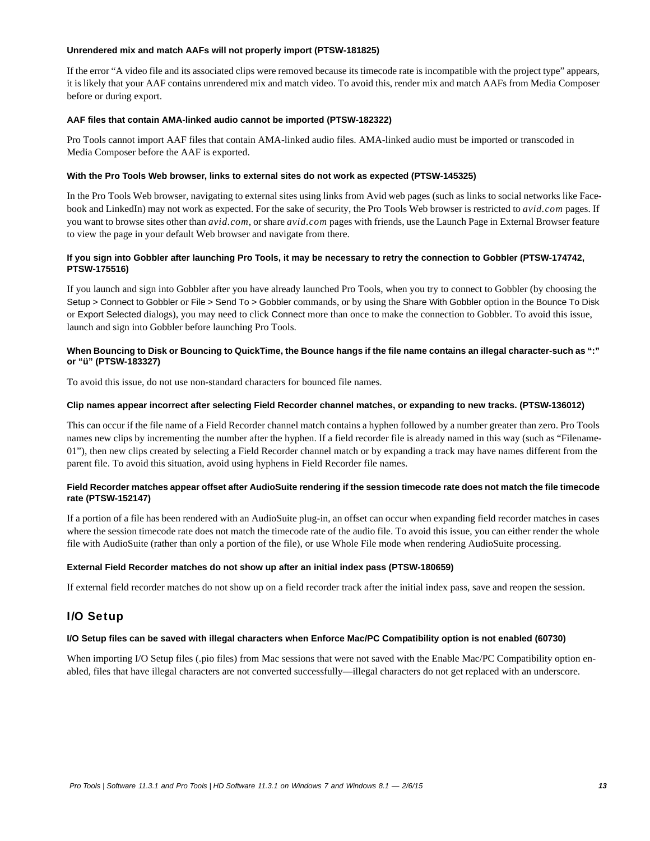#### **Unrendered mix and match AAFs will not properly import (PTSW-181825)**

If the error "A video file and its associated clips were removed because its timecode rate is incompatible with the project type" appears, it is likely that your AAF contains unrendered mix and match video. To avoid this, render mix and match AAFs from Media Composer before or during export.

#### **AAF files that contain AMA-linked audio cannot be imported (PTSW-182322)**

Pro Tools cannot import AAF files that contain AMA-linked audio files. AMA-linked audio must be imported or transcoded in Media Composer before the AAF is exported.

#### **With the Pro Tools Web browser, links to external sites do not work as expected (PTSW-145325)**

In the Pro Tools Web browser, navigating to external sites using links from Avid web pages (such as links to social networks like Facebook and LinkedIn) may not work as expected. For the sake of security, the Pro Tools Web browser is restricted to *avid.com* pages. If you want to browse sites other than *avid.com*, or share *avid.com* pages with friends, use the Launch Page in External Browser feature to view the page in your default Web browser and navigate from there.

#### **If you sign into Gobbler after launching Pro Tools, it may be necessary to retry the connection to Gobbler (PTSW-174742, PTSW-175516)**

If you launch and sign into Gobbler after you have already launched Pro Tools, when you try to connect to Gobbler (by choosing the Setup > Connect to Gobbler or File > Send To > Gobbler commands, or by using the Share With Gobbler option in the Bounce To Disk or Export Selected dialogs), you may need to click Connect more than once to make the connection to Gobbler. To avoid this issue, launch and sign into Gobbler before launching Pro Tools.

#### **When Bouncing to Disk or Bouncing to QuickTime, the Bounce hangs if the file name contains an illegal character-such as ":" or "ü" (PTSW-183327)**

To avoid this issue, do not use non-standard characters for bounced file names.

#### **Clip names appear incorrect after selecting Field Recorder channel matches, or expanding to new tracks. (PTSW-136012)**

This can occur if the file name of a Field Recorder channel match contains a hyphen followed by a number greater than zero. Pro Tools names new clips by incrementing the number after the hyphen. If a field recorder file is already named in this way (such as "Filename-01"), then new clips created by selecting a Field Recorder channel match or by expanding a track may have names different from the parent file. To avoid this situation, avoid using hyphens in Field Recorder file names.

#### **Field Recorder matches appear offset after AudioSuite rendering if the session timecode rate does not match the file timecode rate (PTSW-152147)**

If a portion of a file has been rendered with an AudioSuite plug-in, an offset can occur when expanding field recorder matches in cases where the session timecode rate does not match the timecode rate of the audio file. To avoid this issue, you can either render the whole file with AudioSuite (rather than only a portion of the file), or use Whole File mode when rendering AudioSuite processing.

#### **External Field Recorder matches do not show up after an initial index pass (PTSW-180659)**

If external field recorder matches do not show up on a field recorder track after the initial index pass, save and reopen the session.

# I/O Setup

#### **I/O Setup files can be saved with illegal characters when Enforce Mac/PC Compatibility option is not enabled (60730)**

When importing I/O Setup files (.pio files) from Mac sessions that were not saved with the Enable Mac/PC Compatibility option enabled, files that have illegal characters are not converted successfully—illegal characters do not get replaced with an underscore.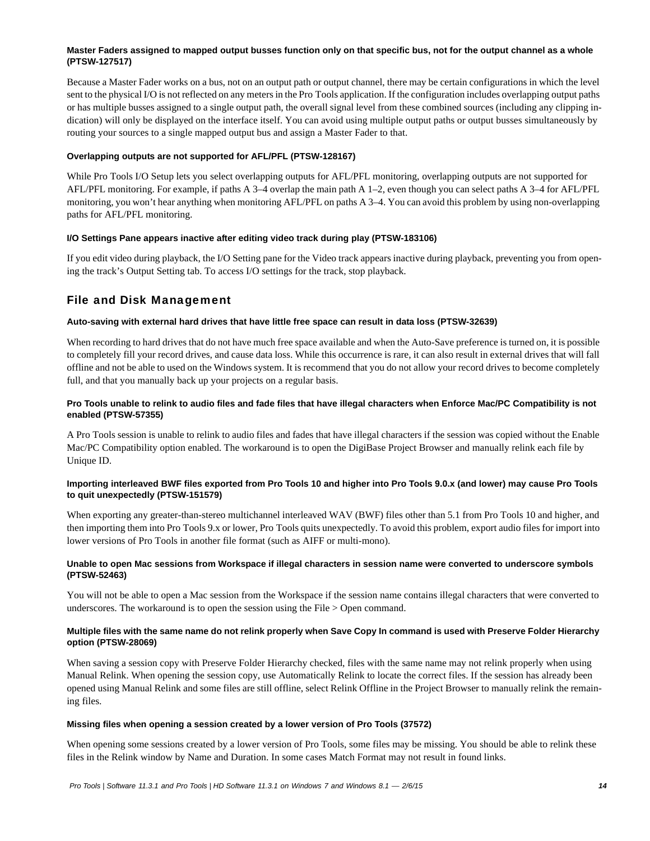#### **Master Faders assigned to mapped output busses function only on that specific bus, not for the output channel as a whole (PTSW-127517)**

Because a Master Fader works on a bus, not on an output path or output channel, there may be certain configurations in which the level sent to the physical I/O is not reflected on any meters in the Pro Tools application. If the configuration includes overlapping output paths or has multiple busses assigned to a single output path, the overall signal level from these combined sources (including any clipping indication) will only be displayed on the interface itself. You can avoid using multiple output paths or output busses simultaneously by routing your sources to a single mapped output bus and assign a Master Fader to that.

#### **Overlapping outputs are not supported for AFL/PFL (PTSW-128167)**

While Pro Tools I/O Setup lets you select overlapping outputs for AFL/PFL monitoring, overlapping outputs are not supported for AFL/PFL monitoring. For example, if paths A 3–4 overlap the main path A 1–2, even though you can select paths A 3–4 for AFL/PFL monitoring, you won't hear anything when monitoring AFL/PFL on paths A 3–4. You can avoid this problem by using non-overlapping paths for AFL/PFL monitoring.

#### **I/O Settings Pane appears inactive after editing video track during play (PTSW-183106)**

If you edit video during playback, the I/O Setting pane for the Video track appears inactive during playback, preventing you from opening the track's Output Setting tab. To access I/O settings for the track, stop playback.

## File and Disk Management

#### **Auto-saving with external hard drives that have little free space can result in data loss (PTSW-32639)**

When recording to hard drives that do not have much free space available and when the Auto-Save preference is turned on, it is possible to completely fill your record drives, and cause data loss. While this occurrence is rare, it can also result in external drives that will fall offline and not be able to used on the Windows system. It is recommend that you do not allow your record drives to become completely full, and that you manually back up your projects on a regular basis.

#### **Pro Tools unable to relink to audio files and fade files that have illegal characters when Enforce Mac/PC Compatibility is not enabled (PTSW-57355)**

A Pro Tools session is unable to relink to audio files and fades that have illegal characters if the session was copied without the Enable Mac/PC Compatibility option enabled. The workaround is to open the DigiBase Project Browser and manually relink each file by Unique ID.

#### **Importing interleaved BWF files exported from Pro Tools 10 and higher into Pro Tools 9.0.x (and lower) may cause Pro Tools to quit unexpectedly (PTSW-151579)**

When exporting any greater-than-stereo multichannel interleaved WAV (BWF) files other than 5.1 from Pro Tools 10 and higher, and then importing them into Pro Tools 9.x or lower, Pro Tools quits unexpectedly. To avoid this problem, export audio files for import into lower versions of Pro Tools in another file format (such as AIFF or multi-mono).

#### **Unable to open Mac sessions from Workspace if illegal characters in session name were converted to underscore symbols (PTSW-52463)**

You will not be able to open a Mac session from the Workspace if the session name contains illegal characters that were converted to underscores. The workaround is to open the session using the File > Open command.

#### **Multiple files with the same name do not relink properly when Save Copy In command is used with Preserve Folder Hierarchy option (PTSW-28069)**

When saving a session copy with Preserve Folder Hierarchy checked, files with the same name may not relink properly when using Manual Relink. When opening the session copy, use Automatically Relink to locate the correct files. If the session has already been opened using Manual Relink and some files are still offline, select Relink Offline in the Project Browser to manually relink the remaining files.

#### **Missing files when opening a session created by a lower version of Pro Tools (37572)**

When opening some sessions created by a lower version of Pro Tools, some files may be missing. You should be able to relink these files in the Relink window by Name and Duration. In some cases Match Format may not result in found links.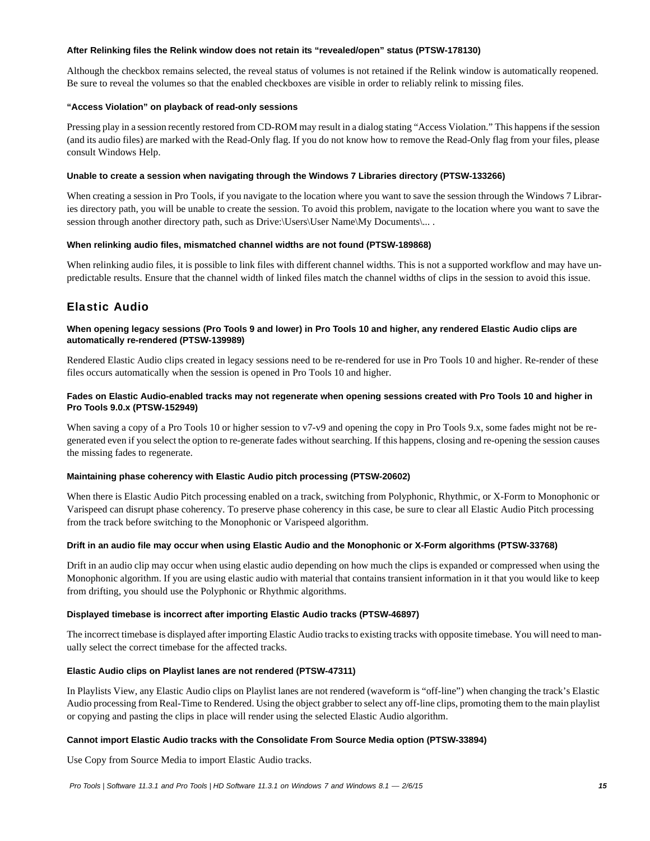#### **After Relinking files the Relink window does not retain its "revealed/open" status (PTSW-178130)**

Although the checkbox remains selected, the reveal status of volumes is not retained if the Relink window is automatically reopened. Be sure to reveal the volumes so that the enabled checkboxes are visible in order to reliably relink to missing files.

#### **"Access Violation" on playback of read-only sessions**

Pressing play in a session recently restored from CD-ROM may result in a dialog stating "Access Violation." This happens if the session (and its audio files) are marked with the Read-Only flag. If you do not know how to remove the Read-Only flag from your files, please consult Windows Help.

#### **Unable to create a session when navigating through the Windows 7 Libraries directory (PTSW-133266)**

When creating a session in Pro Tools, if you navigate to the location where you want to save the session through the Windows 7 Libraries directory path, you will be unable to create the session. To avoid this problem, navigate to the location where you want to save the session through another directory path, such as Drive:\Users\User Name\My Documents\... .

#### **When relinking audio files, mismatched channel widths are not found (PTSW-189868)**

When relinking audio files, it is possible to link files with different channel widths. This is not a supported workflow and may have unpredictable results. Ensure that the channel width of linked files match the channel widths of clips in the session to avoid this issue.

# Elastic Audio

#### **When opening legacy sessions (Pro Tools 9 and lower) in Pro Tools 10 and higher, any rendered Elastic Audio clips are automatically re-rendered (PTSW-139989)**

Rendered Elastic Audio clips created in legacy sessions need to be re-rendered for use in Pro Tools 10 and higher. Re-render of these files occurs automatically when the session is opened in Pro Tools 10 and higher.

#### **Fades on Elastic Audio-enabled tracks may not regenerate when opening sessions created with Pro Tools 10 and higher in Pro Tools 9.0.x (PTSW-152949)**

When saving a copy of a Pro Tools 10 or higher session to v7-v9 and opening the copy in Pro Tools 9.x, some fades might not be regenerated even if you select the option to re-generate fades without searching. If this happens, closing and re-opening the session causes the missing fades to regenerate.

#### **Maintaining phase coherency with Elastic Audio pitch processing (PTSW-20602)**

When there is Elastic Audio Pitch processing enabled on a track, switching from Polyphonic, Rhythmic, or X-Form to Monophonic or Varispeed can disrupt phase coherency. To preserve phase coherency in this case, be sure to clear all Elastic Audio Pitch processing from the track before switching to the Monophonic or Varispeed algorithm.

#### **Drift in an audio file may occur when using Elastic Audio and the Monophonic or X-Form algorithms (PTSW-33768)**

Drift in an audio clip may occur when using elastic audio depending on how much the clips is expanded or compressed when using the Monophonic algorithm. If you are using elastic audio with material that contains transient information in it that you would like to keep from drifting, you should use the Polyphonic or Rhythmic algorithms.

#### **Displayed timebase is incorrect after importing Elastic Audio tracks (PTSW-46897)**

The incorrect timebase is displayed after importing Elastic Audio tracks to existing tracks with opposite timebase. You will need to manually select the correct timebase for the affected tracks.

#### **Elastic Audio clips on Playlist lanes are not rendered (PTSW-47311)**

In Playlists View, any Elastic Audio clips on Playlist lanes are not rendered (waveform is "off-line") when changing the track's Elastic Audio processing from Real-Time to Rendered. Using the object grabber to select any off-line clips, promoting them to the main playlist or copying and pasting the clips in place will render using the selected Elastic Audio algorithm.

#### **Cannot import Elastic Audio tracks with the Consolidate From Source Media option (PTSW-33894)**

Use Copy from Source Media to import Elastic Audio tracks.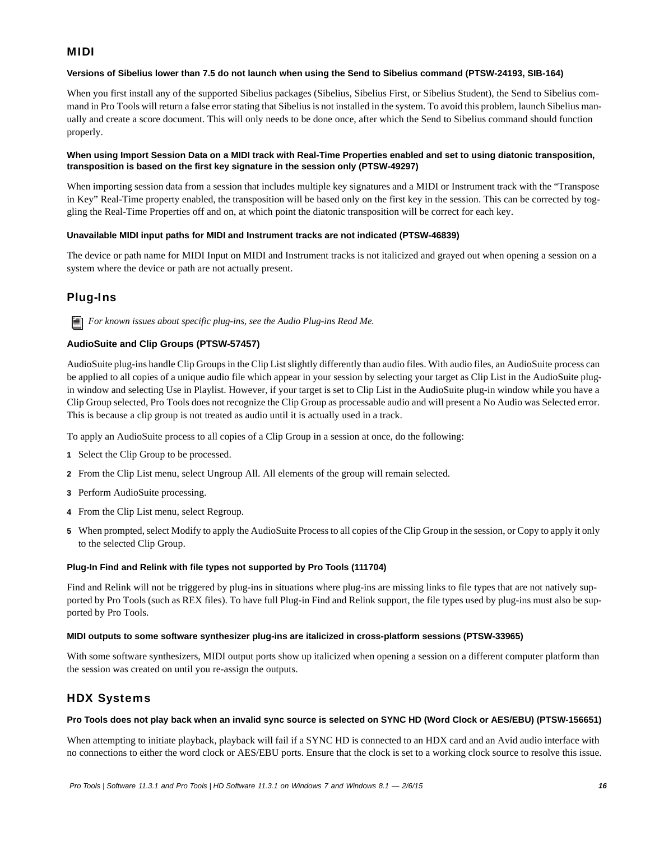## MIDI

#### **Versions of Sibelius lower than 7.5 do not launch when using the Send to Sibelius command (PTSW-24193, SIB-164)**

When you first install any of the supported Sibelius packages (Sibelius, Sibelius First, or Sibelius Student), the Send to Sibelius command in Pro Tools will return a false error stating that Sibelius is not installed in the system. To avoid this problem, launch Sibelius manually and create a score document. This will only needs to be done once, after which the Send to Sibelius command should function properly.

#### **When using Import Session Data on a MIDI track with Real-Time Properties enabled and set to using diatonic transposition, transposition is based on the first key signature in the session only (PTSW-49297)**

When importing session data from a session that includes multiple key signatures and a MIDI or Instrument track with the "Transpose in Key" Real-Time property enabled, the transposition will be based only on the first key in the session. This can be corrected by toggling the Real-Time Properties off and on, at which point the diatonic transposition will be correct for each key.

#### **Unavailable MIDI input paths for MIDI and Instrument tracks are not indicated (PTSW-46839)**

The device or path name for MIDI Input on MIDI and Instrument tracks is not italicized and grayed out when opening a session on a system where the device or path are not actually present.

# Plug-Ins

*For known issues about specific plug-ins, see the Audio Plug-ins Read Me.*

### **AudioSuite and Clip Groups (PTSW-57457)**

AudioSuite plug-ins handle Clip Groups in the Clip List slightly differently than audio files. With audio files, an AudioSuite process can be applied to all copies of a unique audio file which appear in your session by selecting your target as Clip List in the AudioSuite plugin window and selecting Use in Playlist. However, if your target is set to Clip List in the AudioSuite plug-in window while you have a Clip Group selected, Pro Tools does not recognize the Clip Group as processable audio and will present a No Audio was Selected error. This is because a clip group is not treated as audio until it is actually used in a track.

To apply an AudioSuite process to all copies of a Clip Group in a session at once, do the following:

- **1** Select the Clip Group to be processed.
- **2** From the Clip List menu, select Ungroup All. All elements of the group will remain selected.
- **3** Perform AudioSuite processing.
- **4** From the Clip List menu, select Regroup.
- **5** When prompted, select Modify to apply the AudioSuite Process to all copies of the Clip Group in the session, or Copy to apply it only to the selected Clip Group.

#### **Plug-In Find and Relink with file types not supported by Pro Tools (111704)**

Find and Relink will not be triggered by plug-ins in situations where plug-ins are missing links to file types that are not natively supported by Pro Tools (such as REX files). To have full Plug-in Find and Relink support, the file types used by plug-ins must also be supported by Pro Tools.

#### **MIDI outputs to some software synthesizer plug-ins are italicized in cross-platform sessions (PTSW-33965)**

With some software synthesizers, MIDI output ports show up italicized when opening a session on a different computer platform than the session was created on until you re-assign the outputs.

### HDX Systems

#### **Pro Tools does not play back when an invalid sync source is selected on SYNC HD (Word Clock or AES/EBU) (PTSW-156651)**

When attempting to initiate playback, playback will fail if a SYNC HD is connected to an HDX card and an Avid audio interface with no connections to either the word clock or AES/EBU ports. Ensure that the clock is set to a working clock source to resolve this issue.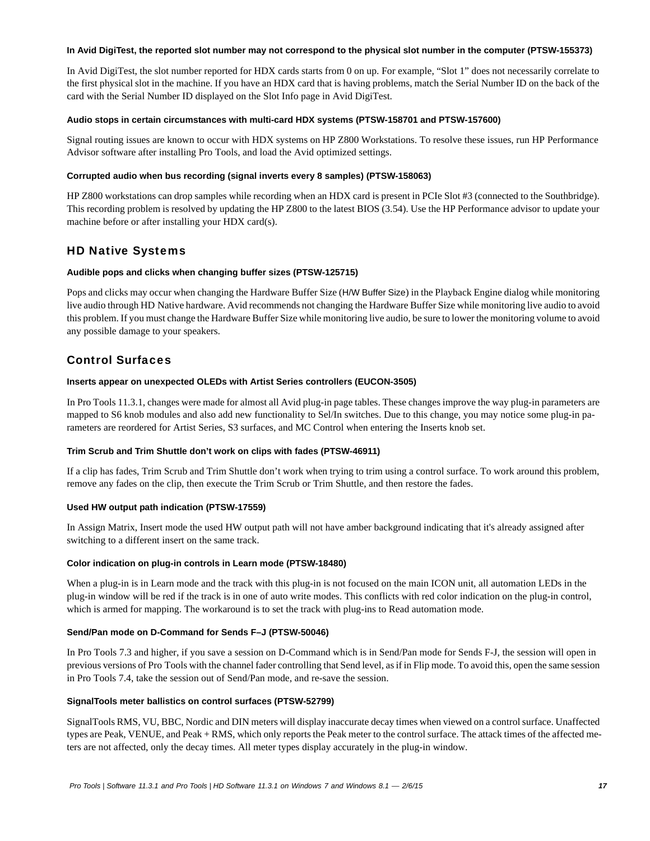#### **In Avid DigiTest, the reported slot number may not correspond to the physical slot number in the computer (PTSW-155373)**

In Avid DigiTest, the slot number reported for HDX cards starts from 0 on up. For example, "Slot 1" does not necessarily correlate to the first physical slot in the machine. If you have an HDX card that is having problems, match the Serial Number ID on the back of the card with the Serial Number ID displayed on the Slot Info page in Avid DigiTest.

#### **Audio stops in certain circumstances with multi-card HDX systems (PTSW-158701 and PTSW-157600)**

Signal routing issues are known to occur with HDX systems on HP Z800 Workstations. To resolve these issues, run HP Performance Advisor software after installing Pro Tools, and load the Avid optimized settings.

#### **Corrupted audio when bus recording (signal inverts every 8 samples) (PTSW-158063)**

HP Z800 workstations can drop samples while recording when an HDX card is present in PCIe Slot #3 (connected to the Southbridge). This recording problem is resolved by updating the HP Z800 to the latest BIOS (3.54). Use the HP Performance advisor to update your machine before or after installing your HDX card(s).

### HD Native Systems

#### **Audible pops and clicks when changing buffer sizes (PTSW-125715)**

Pops and clicks may occur when changing the Hardware Buffer Size (H/W Buffer Size) in the Playback Engine dialog while monitoring live audio through HD Native hardware. Avid recommends not changing the Hardware Buffer Size while monitoring live audio to avoid this problem. If you must change the Hardware Buffer Size while monitoring live audio, be sure to lower the monitoring volume to avoid any possible damage to your speakers.

### Control Surfaces

#### **Inserts appear on unexpected OLEDs with Artist Series controllers (EUCON-3505)**

In Pro Tools 11.3.1, changes were made for almost all Avid plug-in page tables. These changes improve the way plug-in parameters are mapped to S6 knob modules and also add new functionality to Sel/In switches. Due to this change, you may notice some plug-in parameters are reordered for Artist Series, S3 surfaces, and MC Control when entering the Inserts knob set.

#### **Trim Scrub and Trim Shuttle don't work on clips with fades (PTSW-46911)**

If a clip has fades, Trim Scrub and Trim Shuttle don't work when trying to trim using a control surface. To work around this problem, remove any fades on the clip, then execute the Trim Scrub or Trim Shuttle, and then restore the fades.

#### **Used HW output path indication (PTSW-17559)**

In Assign Matrix, Insert mode the used HW output path will not have amber background indicating that it's already assigned after switching to a different insert on the same track.

#### **Color indication on plug-in controls in Learn mode (PTSW-18480)**

When a plug-in is in Learn mode and the track with this plug-in is not focused on the main ICON unit, all automation LEDs in the plug-in window will be red if the track is in one of auto write modes. This conflicts with red color indication on the plug-in control, which is armed for mapping. The workaround is to set the track with plug-ins to Read automation mode.

#### **Send/Pan mode on D-Command for Sends F–J (PTSW-50046)**

In Pro Tools 7.3 and higher, if you save a session on D-Command which is in Send/Pan mode for Sends F-J, the session will open in previous versions of Pro Tools with the channel fader controlling that Send level, as if in Flip mode. To avoid this, open the same session in Pro Tools 7.4, take the session out of Send/Pan mode, and re-save the session.

#### **SignalTools meter ballistics on control surfaces (PTSW-52799)**

SignalTools RMS, VU, BBC, Nordic and DIN meters will display inaccurate decay times when viewed on a control surface. Unaffected types are Peak, VENUE, and Peak + RMS, which only reports the Peak meter to the control surface. The attack times of the affected meters are not affected, only the decay times. All meter types display accurately in the plug-in window.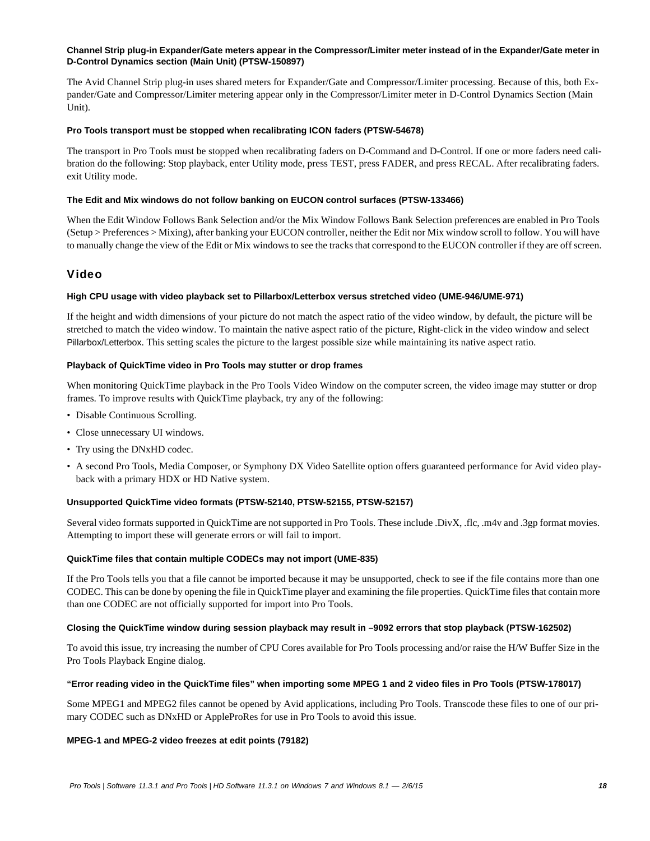#### **Channel Strip plug-in Expander/Gate meters appear in the Compressor/Limiter meter instead of in the Expander/Gate meter in D-Control Dynamics section (Main Unit) (PTSW-150897)**

The Avid Channel Strip plug-in uses shared meters for Expander/Gate and Compressor/Limiter processing. Because of this, both Expander/Gate and Compressor/Limiter metering appear only in the Compressor/Limiter meter in D-Control Dynamics Section (Main Unit).

#### **Pro Tools transport must be stopped when recalibrating ICON faders (PTSW-54678)**

The transport in Pro Tools must be stopped when recalibrating faders on D-Command and D-Control. If one or more faders need calibration do the following: Stop playback, enter Utility mode, press TEST, press FADER, and press RECAL. After recalibrating faders. exit Utility mode.

#### **The Edit and Mix windows do not follow banking on EUCON control surfaces (PTSW-133466)**

When the Edit Window Follows Bank Selection and/or the Mix Window Follows Bank Selection preferences are enabled in Pro Tools (Setup > Preferences > Mixing), after banking your EUCON controller, neither the Edit nor Mix window scroll to follow. You will have to manually change the view of the Edit or Mix windows to see the tracks that correspond to the EUCON controller if they are off screen.

### Video

#### **High CPU usage with video playback set to Pillarbox/Letterbox versus stretched video (UME-946/UME-971)**

If the height and width dimensions of your picture do not match the aspect ratio of the video window, by default, the picture will be stretched to match the video window. To maintain the native aspect ratio of the picture, Right-click in the video window and select Pillarbox/Letterbox. This setting scales the picture to the largest possible size while maintaining its native aspect ratio.

#### **Playback of QuickTime video in Pro Tools may stutter or drop frames**

When monitoring QuickTime playback in the Pro Tools Video Window on the computer screen, the video image may stutter or drop frames. To improve results with QuickTime playback, try any of the following:

- Disable Continuous Scrolling.
- Close unnecessary UI windows.
- Try using the DNxHD codec.
- A second Pro Tools, Media Composer, or Symphony DX Video Satellite option offers guaranteed performance for Avid video playback with a primary HDX or HD Native system.

#### **Unsupported QuickTime video formats (PTSW-52140, PTSW-52155, PTSW-52157)**

Several video formats supported in QuickTime are not supported in Pro Tools. These include .DivX, .flc, .m4v and .3gp format movies. Attempting to import these will generate errors or will fail to import.

#### **QuickTime files that contain multiple CODECs may not import (UME-835)**

If the Pro Tools tells you that a file cannot be imported because it may be unsupported, check to see if the file contains more than one CODEC. This can be done by opening the file in QuickTime player and examining the file properties. QuickTime files that contain more than one CODEC are not officially supported for import into Pro Tools.

#### **Closing the QuickTime window during session playback may result in –9092 errors that stop playback (PTSW-162502)**

To avoid this issue, try increasing the number of CPU Cores available for Pro Tools processing and/or raise the H/W Buffer Size in the Pro Tools Playback Engine dialog.

#### **"Error reading video in the QuickTime files" when importing some MPEG 1 and 2 video files in Pro Tools (PTSW-178017)**

Some MPEG1 and MPEG2 files cannot be opened by Avid applications, including Pro Tools. Transcode these files to one of our primary CODEC such as DNxHD or AppleProRes for use in Pro Tools to avoid this issue.

#### **MPEG-1 and MPEG-2 video freezes at edit points (79182)**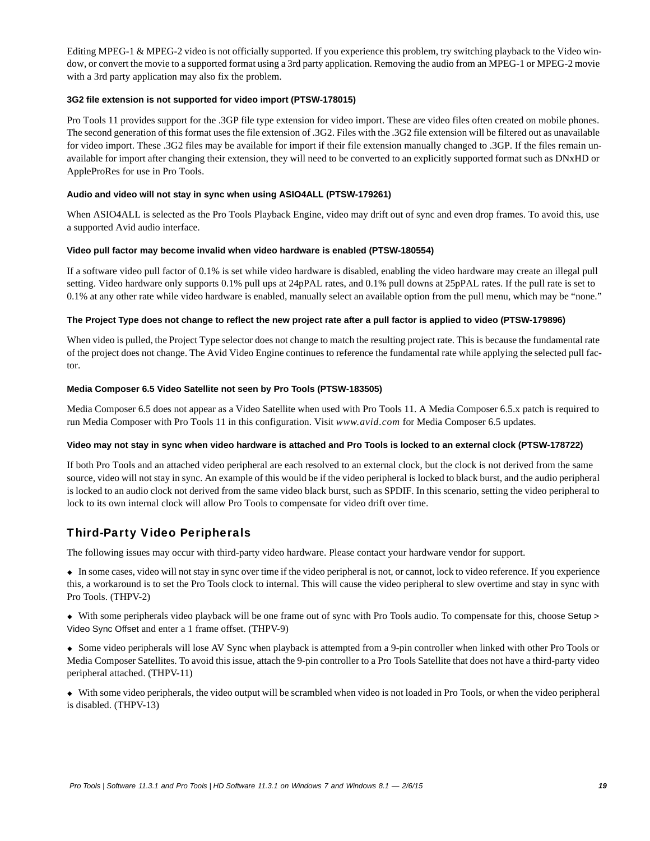Editing MPEG-1 & MPEG-2 video is not officially supported. If you experience this problem, try switching playback to the Video window, or convert the movie to a supported format using a 3rd party application. Removing the audio from an MPEG-1 or MPEG-2 movie with a 3rd party application may also fix the problem.

#### **3G2 file extension is not supported for video import (PTSW-178015)**

Pro Tools 11 provides support for the .3GP file type extension for video import. These are video files often created on mobile phones. The second generation of this format uses the file extension of .3G2. Files with the .3G2 file extension will be filtered out as unavailable for video import. These .3G2 files may be available for import if their file extension manually changed to .3GP. If the files remain unavailable for import after changing their extension, they will need to be converted to an explicitly supported format such as DNxHD or AppleProRes for use in Pro Tools.

#### **Audio and video will not stay in sync when using ASIO4ALL (PTSW-179261)**

When ASIO4ALL is selected as the Pro Tools Playback Engine, video may drift out of sync and even drop frames. To avoid this, use a supported Avid audio interface.

#### **Video pull factor may become invalid when video hardware is enabled (PTSW-180554)**

If a software video pull factor of 0.1% is set while video hardware is disabled, enabling the video hardware may create an illegal pull setting. Video hardware only supports 0.1% pull ups at 24pPAL rates, and 0.1% pull downs at 25pPAL rates. If the pull rate is set to 0.1% at any other rate while video hardware is enabled, manually select an available option from the pull menu, which may be "none."

#### **The Project Type does not change to reflect the new project rate after a pull factor is applied to video (PTSW-179896)**

When video is pulled, the Project Type selector does not change to match the resulting project rate. This is because the fundamental rate of the project does not change. The Avid Video Engine continues to reference the fundamental rate while applying the selected pull factor.

#### **Media Composer 6.5 Video Satellite not seen by Pro Tools (PTSW-183505)**

Media Composer 6.5 does not appear as a Video Satellite when used with Pro Tools 11. A Media Composer 6.5.x patch is required to run Media Composer with Pro Tools 11 in this configuration. Visit *www.avid.com* for Media Composer 6.5 updates.

#### **Video may not stay in sync when video hardware is attached and Pro Tools is locked to an external clock (PTSW-178722)**

If both Pro Tools and an attached video peripheral are each resolved to an external clock, but the clock is not derived from the same source, video will not stay in sync. An example of this would be if the video peripheral is locked to black burst, and the audio peripheral is locked to an audio clock not derived from the same video black burst, such as SPDIF. In this scenario, setting the video peripheral to lock to its own internal clock will allow Pro Tools to compensate for video drift over time.

### Third-Party Video Peripherals

The following issues may occur with third-party video hardware. Please contact your hardware vendor for support.

 In some cases, video will not stay in sync over time if the video peripheral is not, or cannot, lock to video reference. If you experience this, a workaround is to set the Pro Tools clock to internal. This will cause the video peripheral to slew overtime and stay in sync with Pro Tools. (THPV-2)

 With some peripherals video playback will be one frame out of sync with Pro Tools audio. To compensate for this, choose Setup > Video Sync Offset and enter a 1 frame offset. (THPV-9)

 Some video peripherals will lose AV Sync when playback is attempted from a 9-pin controller when linked with other Pro Tools or Media Composer Satellites. To avoid this issue, attach the 9-pin controller to a Pro Tools Satellite that does not have a third-party video peripheral attached. (THPV-11)

 With some video peripherals, the video output will be scrambled when video is not loaded in Pro Tools, or when the video peripheral is disabled. (THPV-13)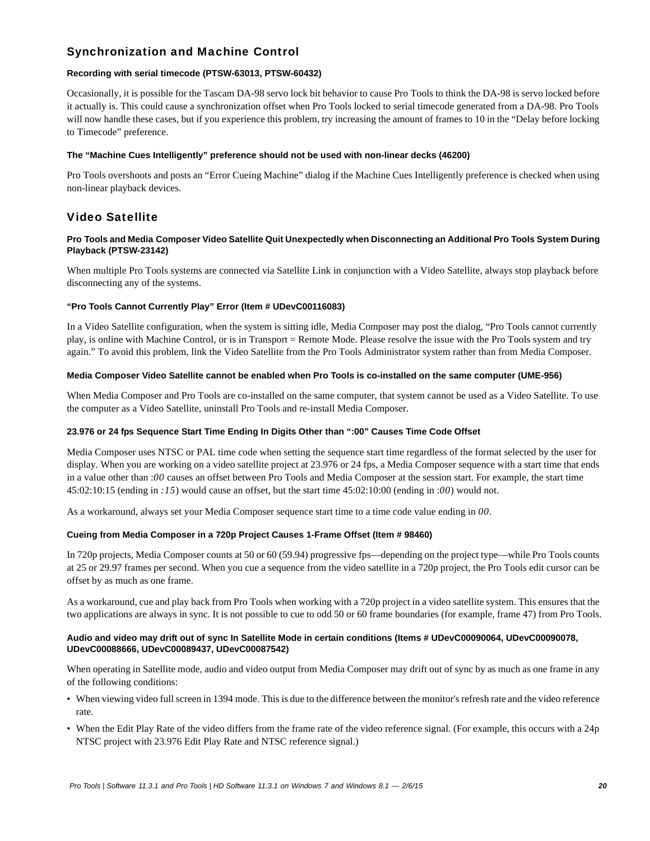# Synchronization and Machine Control

#### **Recording with serial timecode (PTSW-63013, PTSW-60432)**

Occasionally, it is possible for the Tascam DA-98 servo lock bit behavior to cause Pro Tools to think the DA-98 is servo locked before it actually is. This could cause a synchronization offset when Pro Tools locked to serial timecode generated from a DA-98. Pro Tools will now handle these cases, but if you experience this problem, try increasing the amount of frames to 10 in the "Delay before locking to Timecode" preference.

#### **The "Machine Cues Intelligently" preference should not be used with non-linear decks (46200)**

Pro Tools overshoots and posts an "Error Cueing Machine" dialog if the Machine Cues Intelligently preference is checked when using non-linear playback devices.

# Video Satellite

#### **Pro Tools and Media Composer Video Satellite Quit Unexpectedly when Disconnecting an Additional Pro Tools System During Playback (PTSW-23142)**

When multiple Pro Tools systems are connected via Satellite Link in conjunction with a Video Satellite, always stop playback before disconnecting any of the systems.

#### **"Pro Tools Cannot Currently Play" Error (Item # UDevC00116083)**

In a Video Satellite configuration, when the system is sitting idle, Media Composer may post the dialog, "Pro Tools cannot currently play, is online with Machine Control, or is in Transport = Remote Mode. Please resolve the issue with the Pro Tools system and try again." To avoid this problem, link the Video Satellite from the Pro Tools Administrator system rather than from Media Composer.

#### **Media Composer Video Satellite cannot be enabled when Pro Tools is co-installed on the same computer (UME-956)**

When Media Composer and Pro Tools are co-installed on the same computer, that system cannot be used as a Video Satellite. To use the computer as a Video Satellite, uninstall Pro Tools and re-install Media Composer.

#### **23.976 or 24 fps Sequence Start Time Ending In Digits Other than ":00" Causes Time Code Offset**

Media Composer uses NTSC or PAL time code when setting the sequence start time regardless of the format selected by the user for display. When you are working on a video satellite project at 23.976 or 24 fps, a Media Composer sequence with a start time that ends in a value other than :*00* causes an offset between Pro Tools and Media Composer at the session start. For example, the start time 45:02:10:15 (ending in *:15*) would cause an offset, but the start time 45:02:10:00 (ending in :*00*) would not.

As a workaround, always set your Media Composer sequence start time to a time code value ending in *00*.

#### **Cueing from Media Composer in a 720p Project Causes 1-Frame Offset (Item # 98460)**

In 720p projects, Media Composer counts at 50 or 60 (59.94) progressive fps—depending on the project type—while Pro Tools counts at 25 or 29.97 frames per second. When you cue a sequence from the video satellite in a 720p project, the Pro Tools edit cursor can be offset by as much as one frame.

As a workaround, cue and play back from Pro Tools when working with a 720p project in a video satellite system. This ensures that the two applications are always in sync. It is not possible to cue to odd 50 or 60 frame boundaries (for example, frame 47) from Pro Tools.

#### **Audio and video may drift out of sync In Satellite Mode in certain conditions (Items # UDevC00090064, UDevC00090078, UDevC00088666, UDevC00089437, UDevC00087542)**

When operating in Satellite mode, audio and video output from Media Composer may drift out of sync by as much as one frame in any of the following conditions:

- When viewing video full screen in 1394 mode. This is due to the difference between the monitor's refresh rate and the video reference rate.
- When the Edit Play Rate of the video differs from the frame rate of the video reference signal. (For example, this occurs with a 24p NTSC project with 23.976 Edit Play Rate and NTSC reference signal.)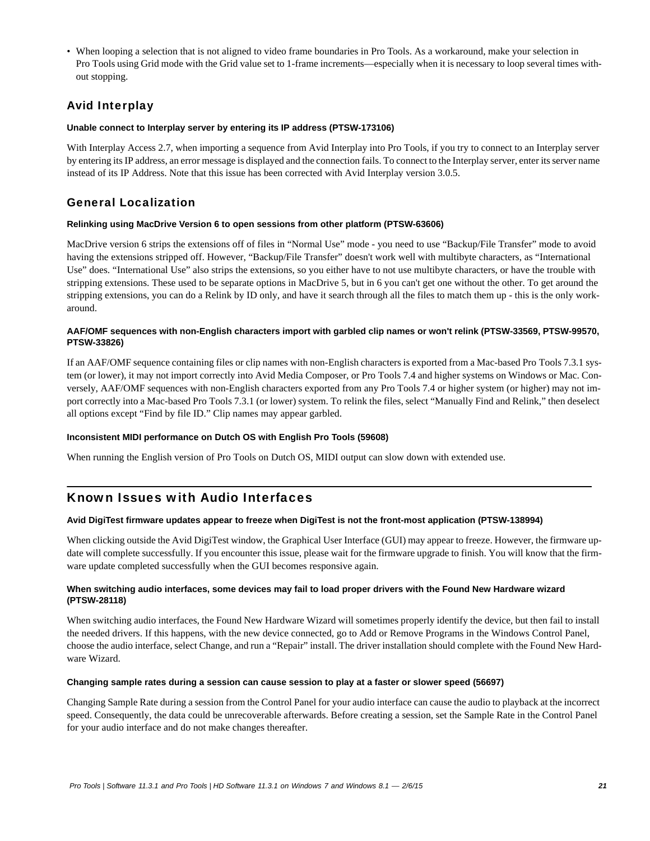• When looping a selection that is not aligned to video frame boundaries in Pro Tools. As a workaround, make your selection in Pro Tools using Grid mode with the Grid value set to 1-frame increments—especially when it is necessary to loop several times without stopping.

# Avid Interplay

#### **Unable connect to Interplay server by entering its IP address (PTSW-173106)**

With Interplay Access 2.7, when importing a sequence from Avid Interplay into Pro Tools, if you try to connect to an Interplay server by entering its IP address, an error message is displayed and the connection fails. To connect to the Interplay server, enter its server name instead of its IP Address. Note that this issue has been corrected with Avid Interplay version 3.0.5.

# General Localization

#### **Relinking using MacDrive Version 6 to open sessions from other platform (PTSW-63606)**

MacDrive version 6 strips the extensions off of files in "Normal Use" mode - you need to use "Backup/File Transfer" mode to avoid having the extensions stripped off. However, "Backup/File Transfer" doesn't work well with multibyte characters, as "International Use" does. "International Use" also strips the extensions, so you either have to not use multibyte characters, or have the trouble with stripping extensions. These used to be separate options in MacDrive 5, but in 6 you can't get one without the other. To get around the stripping extensions, you can do a Relink by ID only, and have it search through all the files to match them up - this is the only workaround.

#### **AAF/OMF sequences with non-English characters import with garbled clip names or won't relink (PTSW-33569, PTSW-99570, PTSW-33826)**

If an AAF/OMF sequence containing files or clip names with non-English characters is exported from a Mac-based Pro Tools 7.3.1 system (or lower), it may not import correctly into Avid Media Composer, or Pro Tools 7.4 and higher systems on Windows or Mac. Conversely, AAF/OMF sequences with non-English characters exported from any Pro Tools 7.4 or higher system (or higher) may not import correctly into a Mac-based Pro Tools 7.3.1 (or lower) system. To relink the files, select "Manually Find and Relink," then deselect all options except "Find by file ID." Clip names may appear garbled.

#### **Inconsistent MIDI performance on Dutch OS with English Pro Tools (59608)**

When running the English version of Pro Tools on Dutch OS, MIDI output can slow down with extended use.

# Known Issues with Audio Interfaces

#### **Avid DigiTest firmware updates appear to freeze when DigiTest is not the front-most application (PTSW-138994)**

When clicking outside the Avid DigiTest window, the Graphical User Interface (GUI) may appear to freeze. However, the firmware update will complete successfully. If you encounter this issue, please wait for the firmware upgrade to finish. You will know that the firmware update completed successfully when the GUI becomes responsive again.

#### **When switching audio interfaces, some devices may fail to load proper drivers with the Found New Hardware wizard (PTSW-28118)**

When switching audio interfaces, the Found New Hardware Wizard will sometimes properly identify the device, but then fail to install the needed drivers. If this happens, with the new device connected, go to Add or Remove Programs in the Windows Control Panel, choose the audio interface, select Change, and run a "Repair" install. The driver installation should complete with the Found New Hardware Wizard.

#### **Changing sample rates during a session can cause session to play at a faster or slower speed (56697)**

Changing Sample Rate during a session from the Control Panel for your audio interface can cause the audio to playback at the incorrect speed. Consequently, the data could be unrecoverable afterwards. Before creating a session, set the Sample Rate in the Control Panel for your audio interface and do not make changes thereafter.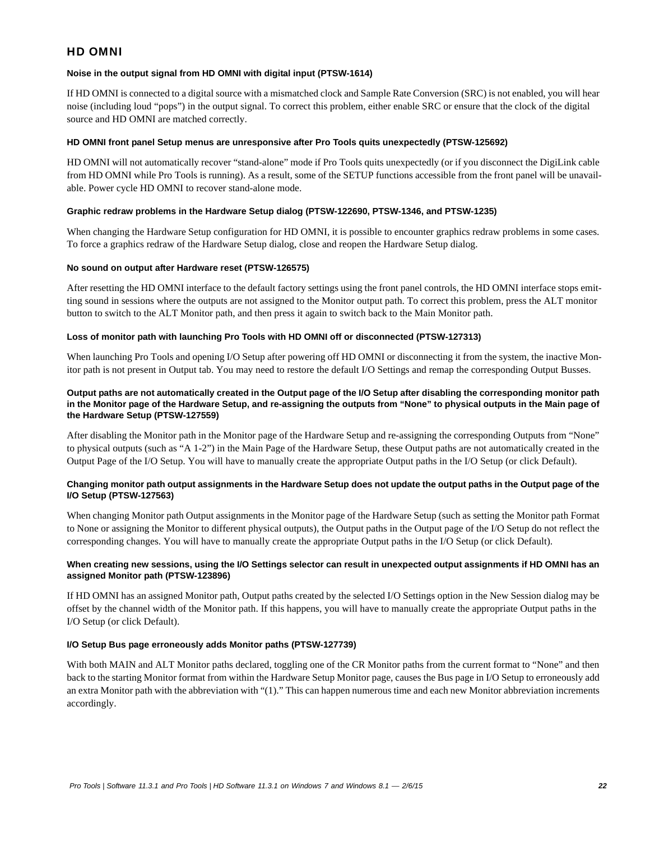### HD OMNI

#### **Noise in the output signal from HD OMNI with digital input (PTSW-1614)**

If HD OMNI is connected to a digital source with a mismatched clock and Sample Rate Conversion (SRC) is not enabled, you will hear noise (including loud "pops") in the output signal. To correct this problem, either enable SRC or ensure that the clock of the digital source and HD OMNI are matched correctly.

#### **HD OMNI front panel Setup menus are unresponsive after Pro Tools quits unexpectedly (PTSW-125692)**

HD OMNI will not automatically recover "stand-alone" mode if Pro Tools quits unexpectedly (or if you disconnect the DigiLink cable from HD OMNI while Pro Tools is running). As a result, some of the SETUP functions accessible from the front panel will be unavailable. Power cycle HD OMNI to recover stand-alone mode.

#### **Graphic redraw problems in the Hardware Setup dialog (PTSW-122690, PTSW-1346, and PTSW-1235)**

When changing the Hardware Setup configuration for HD OMNI, it is possible to encounter graphics redraw problems in some cases. To force a graphics redraw of the Hardware Setup dialog, close and reopen the Hardware Setup dialog.

#### **No sound on output after Hardware reset (PTSW-126575)**

After resetting the HD OMNI interface to the default factory settings using the front panel controls, the HD OMNI interface stops emitting sound in sessions where the outputs are not assigned to the Monitor output path. To correct this problem, press the ALT monitor button to switch to the ALT Monitor path, and then press it again to switch back to the Main Monitor path.

#### **Loss of monitor path with launching Pro Tools with HD OMNI off or disconnected (PTSW-127313)**

When launching Pro Tools and opening I/O Setup after powering off HD OMNI or disconnecting it from the system, the inactive Monitor path is not present in Output tab. You may need to restore the default I/O Settings and remap the corresponding Output Busses.

#### **Output paths are not automatically created in the Output page of the I/O Setup after disabling the corresponding monitor path in the Monitor page of the Hardware Setup, and re-assigning the outputs from "None" to physical outputs in the Main page of the Hardware Setup (PTSW-127559)**

After disabling the Monitor path in the Monitor page of the Hardware Setup and re-assigning the corresponding Outputs from "None" to physical outputs (such as "A 1-2") in the Main Page of the Hardware Setup, these Output paths are not automatically created in the Output Page of the I/O Setup. You will have to manually create the appropriate Output paths in the I/O Setup (or click Default).

#### **Changing monitor path output assignments in the Hardware Setup does not update the output paths in the Output page of the I/O Setup (PTSW-127563)**

When changing Monitor path Output assignments in the Monitor page of the Hardware Setup (such as setting the Monitor path Format to None or assigning the Monitor to different physical outputs), the Output paths in the Output page of the I/O Setup do not reflect the corresponding changes. You will have to manually create the appropriate Output paths in the I/O Setup (or click Default).

#### **When creating new sessions, using the I/O Settings selector can result in unexpected output assignments if HD OMNI has an assigned Monitor path (PTSW-123896)**

If HD OMNI has an assigned Monitor path, Output paths created by the selected I/O Settings option in the New Session dialog may be offset by the channel width of the Monitor path. If this happens, you will have to manually create the appropriate Output paths in the I/O Setup (or click Default).

#### **I/O Setup Bus page erroneously adds Monitor paths (PTSW-127739)**

With both MAIN and ALT Monitor paths declared, toggling one of the CR Monitor paths from the current format to "None" and then back to the starting Monitor format from within the Hardware Setup Monitor page, causes the Bus page in I/O Setup to erroneously add an extra Monitor path with the abbreviation with "(1)." This can happen numerous time and each new Monitor abbreviation increments accordingly.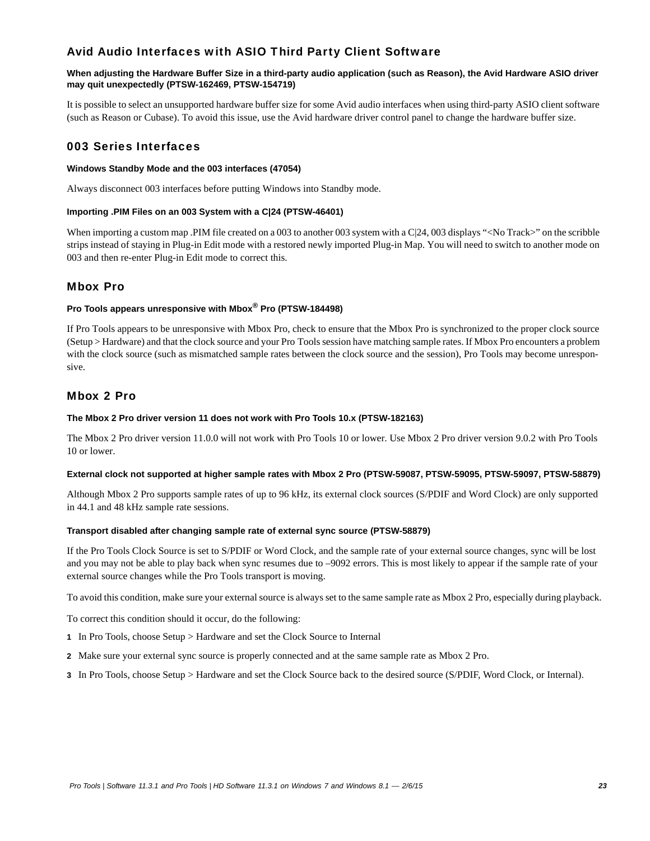# Avid Audio Interfaces with ASIO Third Party Client Software

#### **When adjusting the Hardware Buffer Size in a third-party audio application (such as Reason), the Avid Hardware ASIO driver may quit unexpectedly (PTSW-162469, PTSW-154719)**

It is possible to select an unsupported hardware buffer size for some Avid audio interfaces when using third-party ASIO client software (such as Reason or Cubase). To avoid this issue, use the Avid hardware driver control panel to change the hardware buffer size.

# 003 Series Interfaces

#### **Windows Standby Mode and the 003 interfaces (47054)**

Always disconnect 003 interfaces before putting Windows into Standby mode.

#### **Importing .PIM Files on an 003 System with a C|24 (PTSW-46401)**

When importing a custom map .PIM file created on a 003 to another 003 system with a C|24, 003 displays "<No Track>" on the scribble strips instead of staying in Plug-in Edit mode with a restored newly imported Plug-in Map. You will need to switch to another mode on 003 and then re-enter Plug-in Edit mode to correct this.

### Mbox Pro

#### **Pro Tools appears unresponsive with Mbox® Pro (PTSW-184498)**

If Pro Tools appears to be unresponsive with Mbox Pro, check to ensure that the Mbox Pro is synchronized to the proper clock source (Setup > Hardware) and that the clock source and your Pro Tools session have matching sample rates. If Mbox Pro encounters a problem with the clock source (such as mismatched sample rates between the clock source and the session), Pro Tools may become unresponsive.

### Mbox 2 Pro

#### **The Mbox 2 Pro driver version 11 does not work with Pro Tools 10.x (PTSW-182163)**

The Mbox 2 Pro driver version 11.0.0 will not work with Pro Tools 10 or lower. Use Mbox 2 Pro driver version 9.0.2 with Pro Tools 10 or lower.

#### **External clock not supported at higher sample rates with Mbox 2 Pro (PTSW-59087, PTSW-59095, PTSW-59097, PTSW-58879)**

Although Mbox 2 Pro supports sample rates of up to 96 kHz, its external clock sources (S/PDIF and Word Clock) are only supported in 44.1 and 48 kHz sample rate sessions.

#### **Transport disabled after changing sample rate of external sync source (PTSW-58879)**

If the Pro Tools Clock Source is set to S/PDIF or Word Clock, and the sample rate of your external source changes, sync will be lost and you may not be able to play back when sync resumes due to –9092 errors. This is most likely to appear if the sample rate of your external source changes while the Pro Tools transport is moving.

To avoid this condition, make sure your external source is always set to the same sample rate as Mbox 2 Pro, especially during playback.

To correct this condition should it occur, do the following:

- **1** In Pro Tools, choose Setup > Hardware and set the Clock Source to Internal
- **2** Make sure your external sync source is properly connected and at the same sample rate as Mbox 2 Pro.
- **3** In Pro Tools, choose Setup > Hardware and set the Clock Source back to the desired source (S/PDIF, Word Clock, or Internal).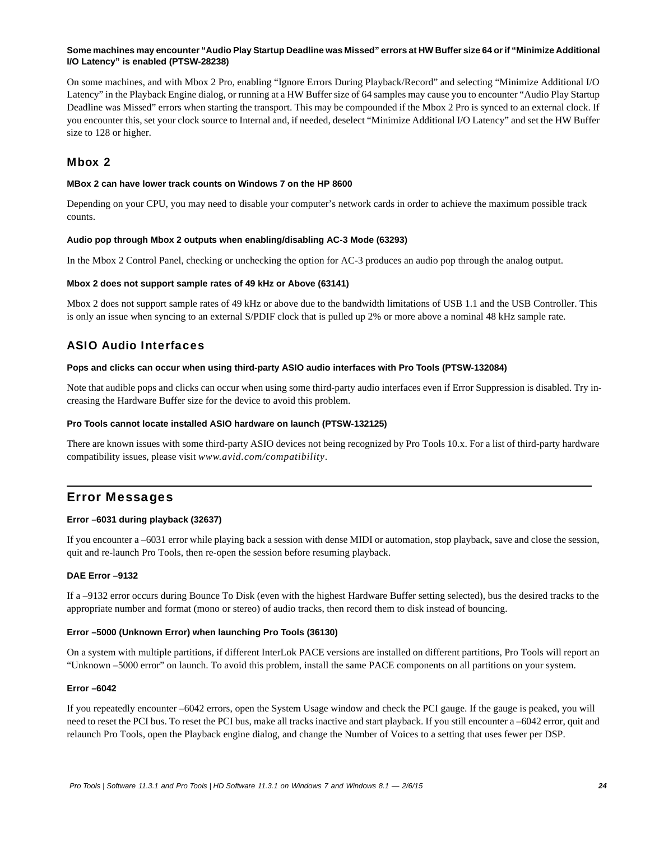#### **Some machines may encounter "Audio Play Startup Deadline was Missed" errors at HW Buffer size 64 or if "Minimize Additional I/O Latency" is enabled (PTSW-28238)**

On some machines, and with Mbox 2 Pro, enabling "Ignore Errors During Playback/Record" and selecting "Minimize Additional I/O Latency" in the Playback Engine dialog, or running at a HW Buffer size of 64 samples may cause you to encounter "Audio Play Startup Deadline was Missed" errors when starting the transport. This may be compounded if the Mbox 2 Pro is synced to an external clock. If you encounter this, set your clock source to Internal and, if needed, deselect "Minimize Additional I/O Latency" and set the HW Buffer size to 128 or higher.

### Mbox 2

#### **MBox 2 can have lower track counts on Windows 7 on the HP 8600**

Depending on your CPU, you may need to disable your computer's network cards in order to achieve the maximum possible track counts.

#### **Audio pop through Mbox 2 outputs when enabling/disabling AC-3 Mode (63293)**

In the Mbox 2 Control Panel, checking or unchecking the option for AC-3 produces an audio pop through the analog output.

#### **Mbox 2 does not support sample rates of 49 kHz or Above (63141)**

Mbox 2 does not support sample rates of 49 kHz or above due to the bandwidth limitations of USB 1.1 and the USB Controller. This is only an issue when syncing to an external S/PDIF clock that is pulled up 2% or more above a nominal 48 kHz sample rate.

### ASIO Audio Interfaces

#### **Pops and clicks can occur when using third-party ASIO audio interfaces with Pro Tools (PTSW-132084)**

Note that audible pops and clicks can occur when using some third-party audio interfaces even if Error Suppression is disabled. Try increasing the Hardware Buffer size for the device to avoid this problem.

#### **Pro Tools cannot locate installed ASIO hardware on launch (PTSW-132125)**

There are known issues with some third-party ASIO devices not being recognized by Pro Tools 10.x. For a list of third-party hardware compatibility issues, please visit *www.avid.com/compatibility*.

### Error Messages

#### **Error –6031 during playback (32637)**

If you encounter a –6031 error while playing back a session with dense MIDI or automation, stop playback, save and close the session, quit and re-launch Pro Tools, then re-open the session before resuming playback.

#### **DAE Error –9132**

If a –9132 error occurs during Bounce To Disk (even with the highest Hardware Buffer setting selected), bus the desired tracks to the appropriate number and format (mono or stereo) of audio tracks, then record them to disk instead of bouncing.

#### **Error –5000 (Unknown Error) when launching Pro Tools (36130)**

On a system with multiple partitions, if different InterLok PACE versions are installed on different partitions, Pro Tools will report an "Unknown –5000 error" on launch. To avoid this problem, install the same PACE components on all partitions on your system.

#### **Error –6042**

If you repeatedly encounter –6042 errors, open the System Usage window and check the PCI gauge. If the gauge is peaked, you will need to reset the PCI bus. To reset the PCI bus, make all tracks inactive and start playback. If you still encounter a –6042 error, quit and relaunch Pro Tools, open the Playback engine dialog, and change the Number of Voices to a setting that uses fewer per DSP.